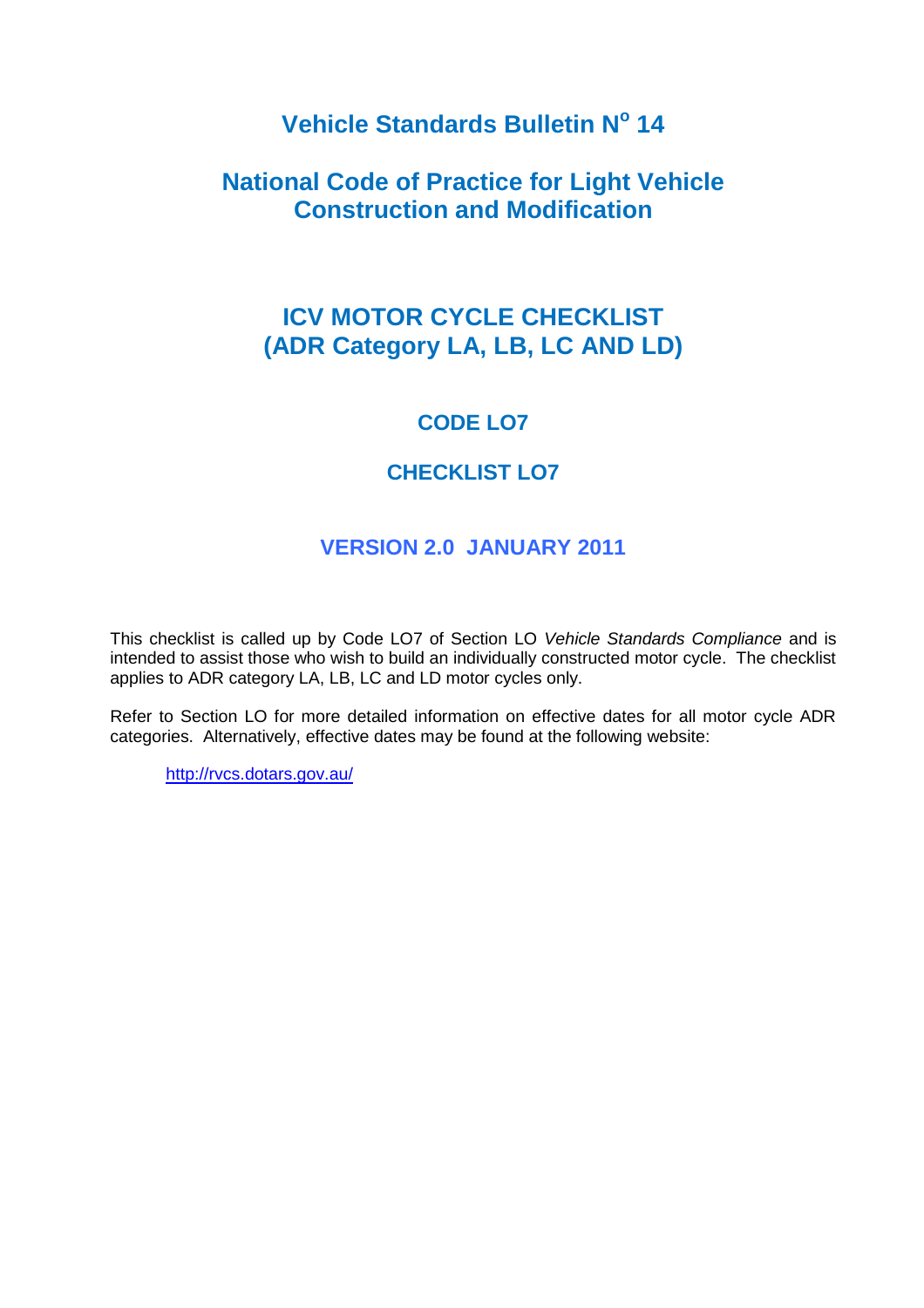# **Vehicle Standards Bulletin N<sup>o</sup> 14**

# **National Code of Practice for Light Vehicle Construction and Modification**

# **ICV MOTOR CYCLE CHECKLIST (ADR Category LA, LB, LC AND LD)**

# **CODE LO7**

# **CHECKLIST LO7**

# **VERSION 2.0 JANUARY 2011**

This checklist is called up by Code LO7 of Section LO *Vehicle Standards Compliance* and is intended to assist those who wish to build an individually constructed motor cycle. The checklist applies to ADR category LA, LB, LC and LD motor cycles only.

Refer to Section LO for more detailed information on effective dates for all motor cycle ADR categories. Alternatively, effective dates may be found at the following website:

<http://rvcs.dotars.gov.au/>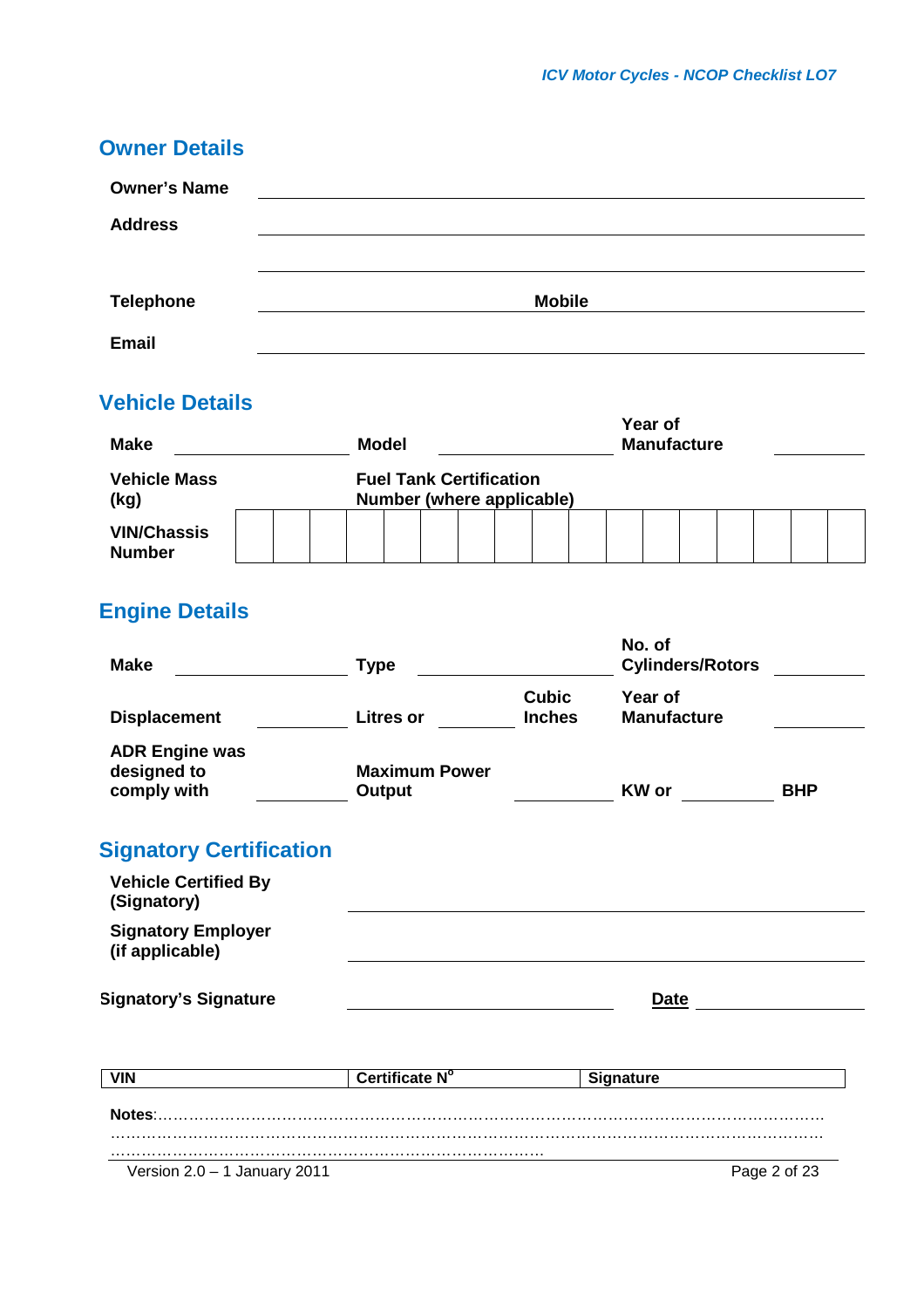| <b>Owner's Name</b> |               |
|---------------------|---------------|
| <b>Address</b>      |               |
|                     |               |
| <b>Telephone</b>    | <b>Mobile</b> |
|                     |               |
| <b>Email</b>        |               |

# **Vehicle Details**

| <b>Make</b>                         |  |  | <b>Model</b>                                                |  |  |  |  |  | Year of<br><b>Manufacture</b> |  |  |  |  |  |  |  |  |
|-------------------------------------|--|--|-------------------------------------------------------------|--|--|--|--|--|-------------------------------|--|--|--|--|--|--|--|--|
| <b>Vehicle Mass</b><br>(kg)         |  |  | <b>Fuel Tank Certification</b><br>Number (where applicable) |  |  |  |  |  |                               |  |  |  |  |  |  |  |  |
| <b>VIN/Chassis</b><br><b>Number</b> |  |  |                                                             |  |  |  |  |  |                               |  |  |  |  |  |  |  |  |

# **Engine Details**

| <b>Make</b>                                         | <b>Type</b>                    |                               | No. of<br><b>Cylinders/Rotors</b> |              |
|-----------------------------------------------------|--------------------------------|-------------------------------|-----------------------------------|--------------|
| <b>Displacement</b>                                 | <b>Litres or</b>               | <b>Cubic</b><br><b>Inches</b> | Year of<br><b>Manufacture</b>     |              |
| <b>ADR Engine was</b><br>designed to<br>comply with | <b>Maximum Power</b><br>Output |                               | <b>KW</b> or                      | <b>BHP</b>   |
| <b>Signatory Certification</b>                      |                                |                               |                                   |              |
| <b>Vehicle Certified By</b><br>(Signatory)          |                                |                               |                                   |              |
| <b>Signatory Employer</b><br>(if applicable)        |                                |                               |                                   |              |
| <b>Signatory's Signature</b>                        |                                |                               | Date                              |              |
| <b>VIN</b>                                          | Certificate N°                 |                               | <b>Signature</b>                  |              |
|                                                     |                                |                               |                                   |              |
|                                                     |                                |                               |                                   |              |
| Version $2.0 - 1$ January 2011                      |                                |                               |                                   | Page 2 of 23 |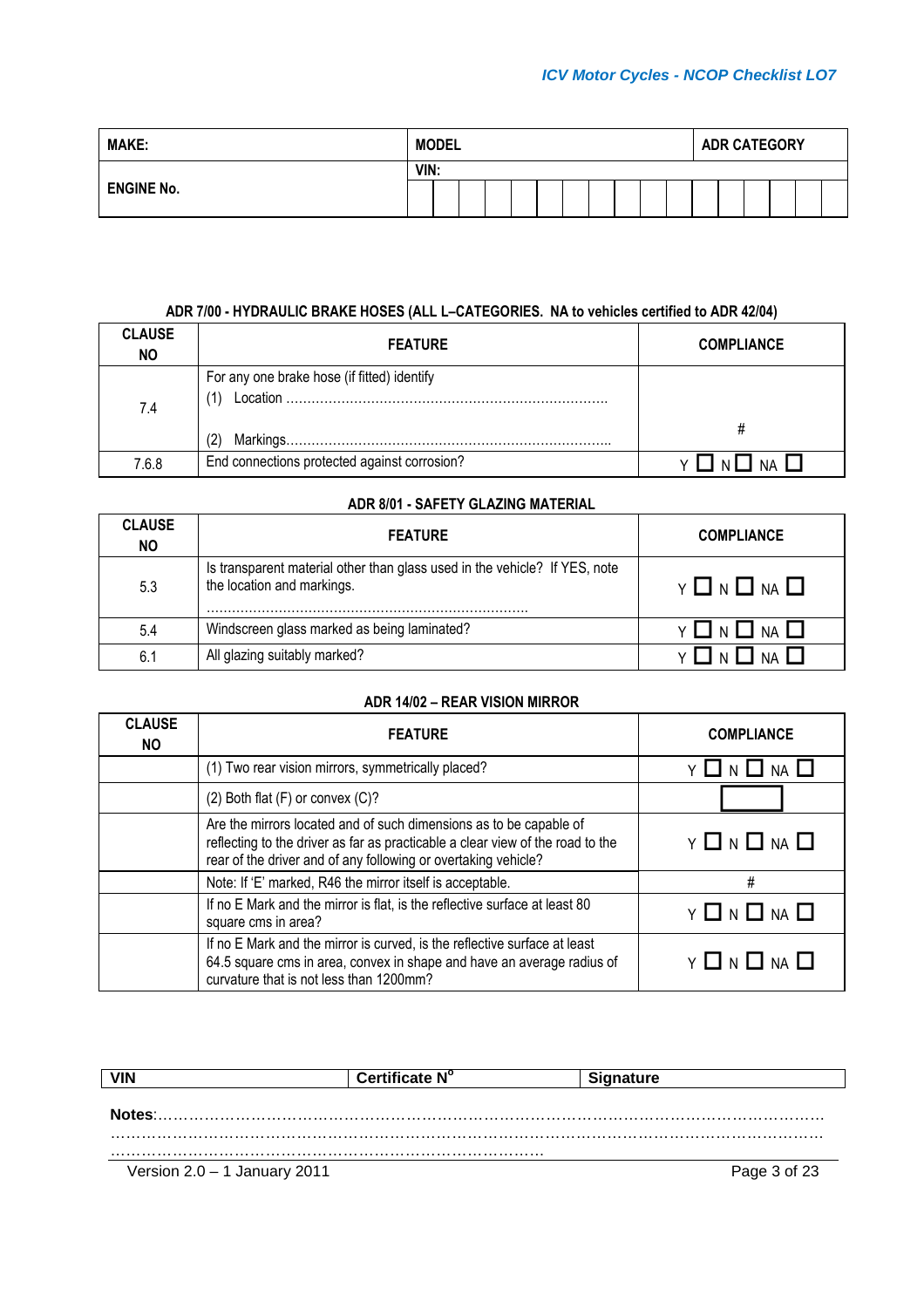| <b>MAKE:</b>      | <b>MODEL</b> |      |  |  | <b>ADR CATEGORY</b> |  |  |  |  |  |  |  |  |  |
|-------------------|--------------|------|--|--|---------------------|--|--|--|--|--|--|--|--|--|
| <b>ENGINE No.</b> |              | VIN: |  |  |                     |  |  |  |  |  |  |  |  |  |
|                   |              |      |  |  |                     |  |  |  |  |  |  |  |  |  |

### **ADR 7/00 - HYDRAULIC BRAKE HOSES (ALL L–CATEGORIES. NA to vehicles certified to ADR 42/04)**

| <b>CLAUSE</b><br><b>NO</b> | <b>FEATURE</b>                               | <b>COMPLIANCE</b> |
|----------------------------|----------------------------------------------|-------------------|
| 7.4                        | For any one brake hose (if fitted) identify  |                   |
| 7.6.8                      | End connections protected against corrosion? |                   |

#### **ADR 8/01 - SAFETY GLAZING MATERIAL**

| <b>CLAUSE</b><br><b>NO</b> | <b>FEATURE</b>                                                                                           | <b>COMPLIANCE</b> |
|----------------------------|----------------------------------------------------------------------------------------------------------|-------------------|
| 5.3                        | Is transparent material other than glass used in the vehicle? If YES, note<br>the location and markings. | Y ON ONA          |
| 5.4                        | Windscreen glass marked as being laminated?                                                              | NA LI<br>YIN      |
| 6.1                        | All glazing suitably marked?                                                                             |                   |

## **ADR 14/02 – REAR VISION MIRROR**

| <b>CLAUSE</b><br><b>NO</b> | <b>FEATURE</b>                                                                                                                                                                                                         | <b>COMPLIANCE</b>                |
|----------------------------|------------------------------------------------------------------------------------------------------------------------------------------------------------------------------------------------------------------------|----------------------------------|
|                            | (1) Two rear vision mirrors, symmetrically placed?                                                                                                                                                                     |                                  |
|                            | $(2)$ Both flat $(F)$ or convex $(C)?$                                                                                                                                                                                 |                                  |
|                            | Are the mirrors located and of such dimensions as to be capable of<br>reflecting to the driver as far as practicable a clear view of the road to the<br>rear of the driver and of any following or overtaking vehicle? | $Y \square N \square NA \square$ |
|                            | Note: If 'E' marked, R46 the mirror itself is acceptable.                                                                                                                                                              | #                                |
|                            | If no E Mark and the mirror is flat, is the reflective surface at least 80<br>square cms in area?                                                                                                                      | Y 囗 N 囗 NA 囗                     |
|                            | If no E Mark and the mirror is curved, is the reflective surface at least<br>64.5 square cms in area, convex in shape and have an average radius of<br>curvature that is not less than 1200mm?                         | Y 囗 N 囗 NA 囗                     |

| <b>VIN</b>                   | Certificate N° |              |
|------------------------------|----------------|--------------|
|                              |                |              |
| Notes:                       |                |              |
|                              |                |              |
| Version 2.0 - 1 January 2011 |                | Page 3 of 23 |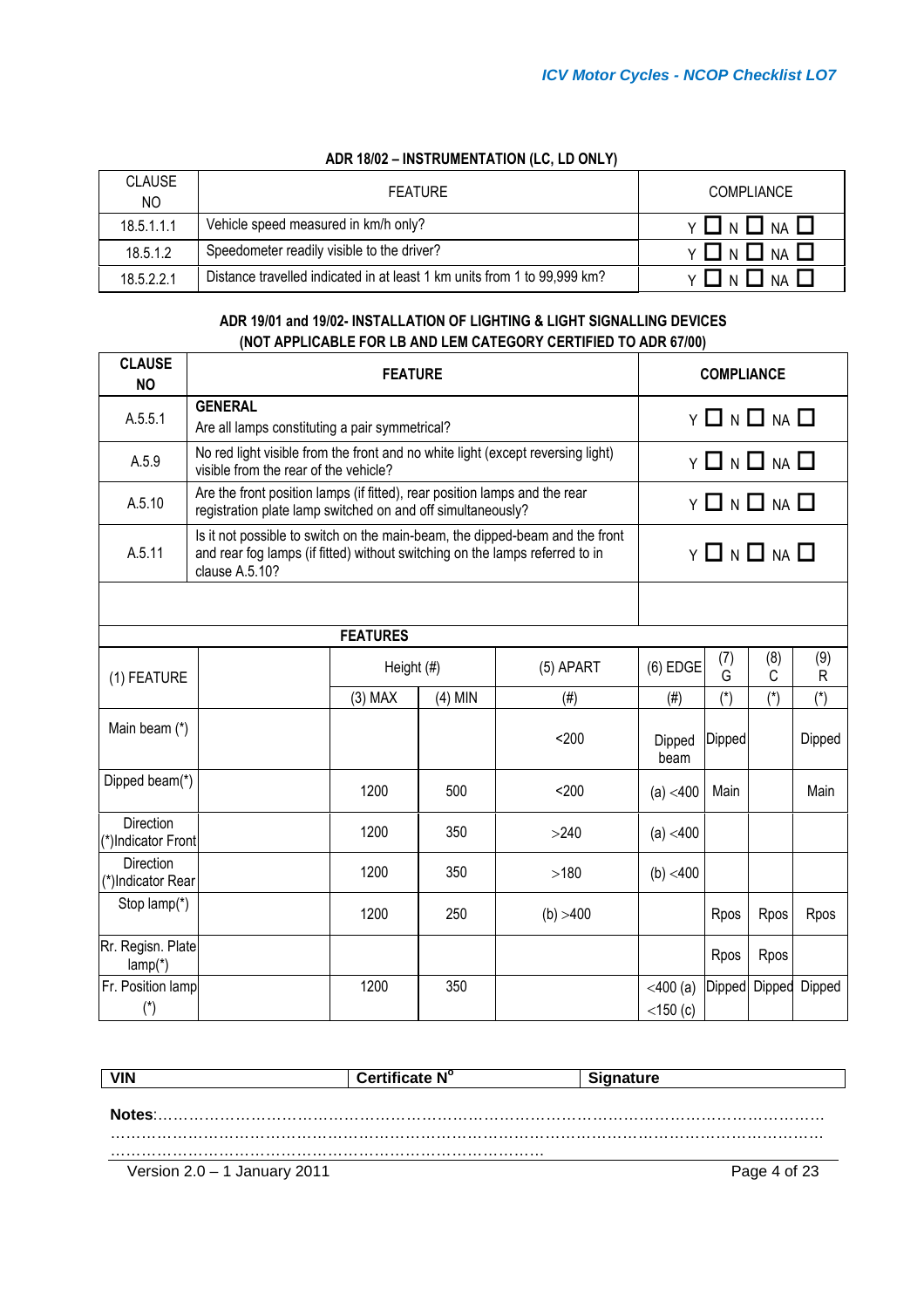## **ADR 18/02 – INSTRUMENTATION (LC, LD ONLY)**

| <b>CLAUSE</b><br>NO. | <b>FEATURE</b>                                                           | <b>COMPLIANCE</b>           |
|----------------------|--------------------------------------------------------------------------|-----------------------------|
| 18.5.1.1.1           | Vehicle speed measured in km/h only?                                     | $V$ $\parallel$ $N$<br>NA I |
| 18.5.1.2             | Speedometer readily visible to the driver?                               | NA I                        |
| 18.5.2.2.1           | Distance travelled indicated in at least 1 km units from 1 to 99,999 km? | NΔ                          |

## **ADR 19/01 and 19/02- INSTALLATION OF LIGHTING & LIGHT SIGNALLING DEVICES (NOT APPLICABLE FOR LB AND LEM CATEGORY CERTIFIED TO ADR 67/00)**

| <b>CLAUSE</b><br><b>NO</b>             |                                                                                                                                                                                |                 | <b>COMPLIANCE</b> |                         |                                |                         |          |                     |
|----------------------------------------|--------------------------------------------------------------------------------------------------------------------------------------------------------------------------------|-----------------|-------------------|-------------------------|--------------------------------|-------------------------|----------|---------------------|
| A.5.5.1                                | <b>GENERAL</b><br>$Y \Box N \Box NA \Box$                                                                                                                                      |                 |                   |                         |                                |                         |          |                     |
|                                        | Are all lamps constituting a pair symmetrical?                                                                                                                                 |                 |                   |                         |                                |                         |          |                     |
| A.5.9                                  | No red light visible from the front and no white light (except reversing light)<br>visible from the rear of the vehicle?                                                       |                 |                   |                         |                                | $Y \Box N \Box NA \Box$ |          |                     |
| A.5.10                                 | Are the front position lamps (if fitted), rear position lamps and the rear<br>registration plate lamp switched on and off simultaneously?                                      |                 |                   |                         |                                | $Y \Box N \Box NA \Box$ |          |                     |
| A.5.11                                 | Is it not possible to switch on the main-beam, the dipped-beam and the front<br>and rear fog lamps (if fitted) without switching on the lamps referred to in<br>clause A.5.10? |                 |                   | $Y \Box N \Box NA \Box$ |                                |                         |          |                     |
|                                        |                                                                                                                                                                                |                 |                   |                         |                                |                         |          |                     |
|                                        |                                                                                                                                                                                | <b>FEATURES</b> |                   |                         |                                |                         |          |                     |
| (1) FEATURE                            |                                                                                                                                                                                | Height (#)      |                   | $(5)$ APART             | $(6)$ EDGE                     | (7)<br>G                | (8)<br>C | (9)<br>$\mathsf{R}$ |
|                                        |                                                                                                                                                                                | $(3)$ MAX       | $(4)$ MIN         | (# <sup>2</sup> )       | (# <sup>1</sup> )              | $(*)$                   | $(*)$    | $(*)$               |
| Main beam (*)                          |                                                                                                                                                                                |                 |                   | $200$                   | Dipped<br>beam                 | Dipped                  |          | Dipped              |
| Dipped beam(*)                         |                                                                                                                                                                                | 1200            | 500               | $200$                   | (a) < 400                      | Main                    |          | Main                |
| <b>Direction</b><br>(*)Indicator Front |                                                                                                                                                                                | 1200            | 350               | >240                    | (a) < 400                      |                         |          |                     |
| <b>Direction</b><br>(*)Indicator Rear  |                                                                                                                                                                                | 1200            | 350               | >180                    | (b) < 400                      |                         |          |                     |
| Stop lamp(*)                           |                                                                                                                                                                                | 1200            | 250               | (b) > 400               |                                | Rpos                    | Rpos     | Rpos                |
| Rr. Regisn. Plate<br>$lamp(*)$         |                                                                                                                                                                                |                 |                   |                         |                                | Rpos                    | Rpos     |                     |
| Fr. Position lamp<br>$(*)$             |                                                                                                                                                                                | 1200            | 350               |                         | $<$ 400 $(a)$<br>$<$ 150 $(c)$ | Dipped                  | Dipped   | Dipped              |

|                                | Certificate N° | Signature    |
|--------------------------------|----------------|--------------|
|                                |                |              |
| Notes:                         |                |              |
|                                |                |              |
| Version $2.0 - 1$ January 2011 |                | Page 4 of 23 |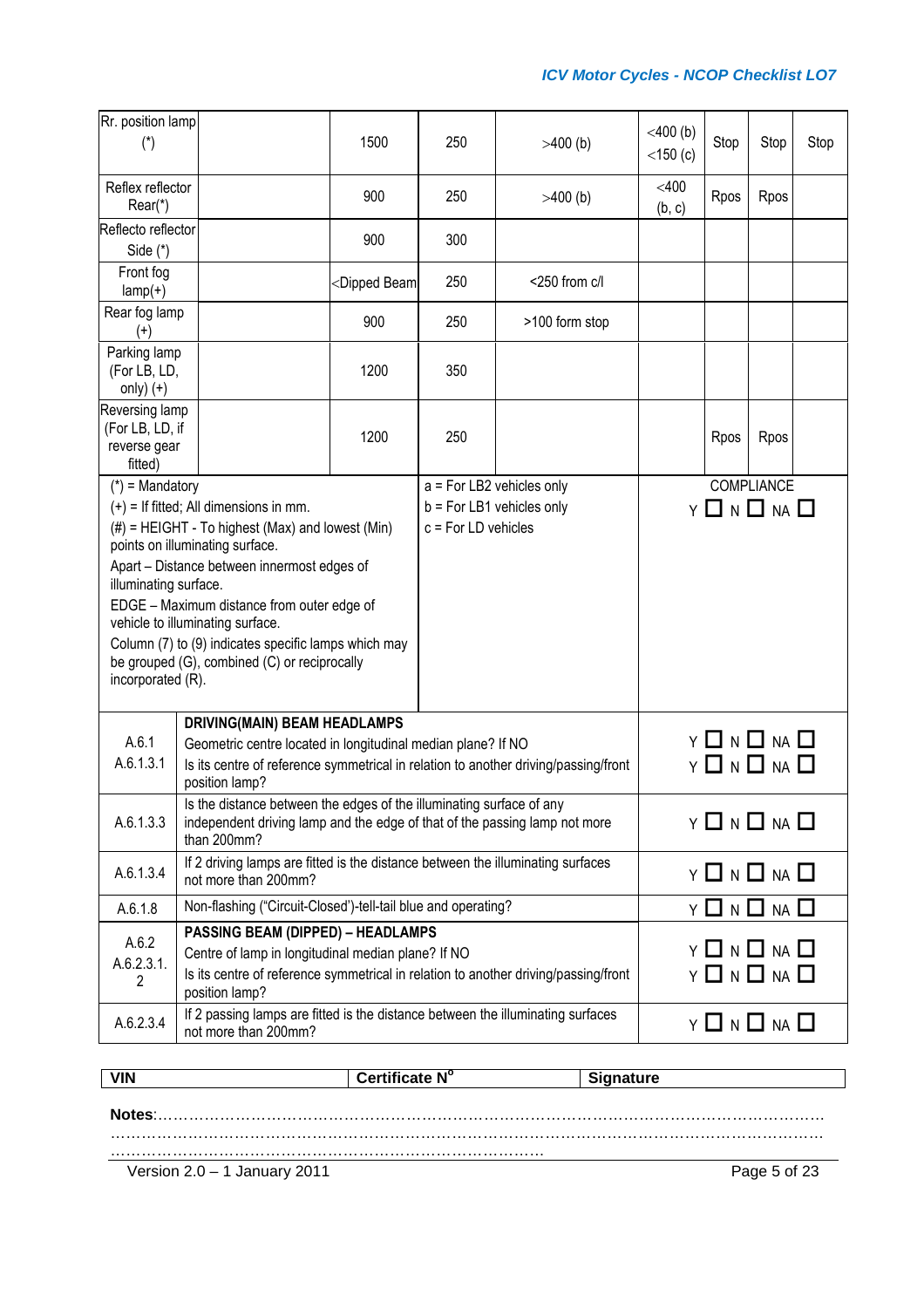| Rr. position lamp<br>$(\dot{a})$                                                                                                                                                                                                                                                                                                                                                                                                               |                                                                                                                                                                                                              | 1500                                                                                                      | 250                   | $>400$ (b)                                               | $<$ 400 $(b)$<br>$<$ 150 $(c)$ | Stop         | Stop                                                    | Stop |
|------------------------------------------------------------------------------------------------------------------------------------------------------------------------------------------------------------------------------------------------------------------------------------------------------------------------------------------------------------------------------------------------------------------------------------------------|--------------------------------------------------------------------------------------------------------------------------------------------------------------------------------------------------------------|-----------------------------------------------------------------------------------------------------------|-----------------------|----------------------------------------------------------|--------------------------------|--------------|---------------------------------------------------------|------|
| Reflex reflector<br>Rear(*)                                                                                                                                                                                                                                                                                                                                                                                                                    |                                                                                                                                                                                                              | 900                                                                                                       | 250                   | $>400$ (b)                                               | $<$ 400<br>(b, c)              | Rpos         | Rpos                                                    |      |
| Reflecto reflector<br>Side (*)                                                                                                                                                                                                                                                                                                                                                                                                                 |                                                                                                                                                                                                              | 900                                                                                                       | 300                   |                                                          |                                |              |                                                         |      |
| Front fog<br>$lamp(+)$                                                                                                                                                                                                                                                                                                                                                                                                                         |                                                                                                                                                                                                              | <dipped beam<="" td=""><td>250</td><td>&lt;250 from c/l</td><td></td><td></td><td></td><td></td></dipped> | 250                   | <250 from c/l                                            |                                |              |                                                         |      |
| Rear fog lamp<br>$^{(+)}$                                                                                                                                                                                                                                                                                                                                                                                                                      |                                                                                                                                                                                                              | 900                                                                                                       | 250                   | >100 form stop                                           |                                |              |                                                         |      |
| Parking lamp<br>(For LB, LD,<br>only) $(+)$                                                                                                                                                                                                                                                                                                                                                                                                    |                                                                                                                                                                                                              | 1200                                                                                                      | 350                   |                                                          |                                |              |                                                         |      |
| Reversing lamp<br>(For LB, LD, if<br>reverse gear<br>fitted)                                                                                                                                                                                                                                                                                                                                                                                   |                                                                                                                                                                                                              | 1200                                                                                                      | 250                   |                                                          |                                | Rpos         | Rpos                                                    |      |
| $(*)$ = Mandatory<br>$(+)$ = If fitted; All dimensions in mm.<br>$(\#)$ = HEIGHT - To highest (Max) and lowest (Min)<br>points on illuminating surface.<br>Apart - Distance between innermost edges of<br>illuminating surface.<br>EDGE - Maximum distance from outer edge of<br>vehicle to illuminating surface.<br>Column (7) to (9) indicates specific lamps which may<br>be grouped (G), combined (C) or reciprocally<br>incorporated (R). |                                                                                                                                                                                                              |                                                                                                           | $c = For LD$ vehicles | a = For LB2 vehicles only<br>$b = For LB1$ vehicles only |                                |              | COMPLIANCE<br>Y 囗 N 囗 NA 囗                              |      |
| A.6.1<br>A.6.1.3.1                                                                                                                                                                                                                                                                                                                                                                                                                             | <b>DRIVING(MAIN) BEAM HEADLAMPS</b><br>Geometric centre located in longitudinal median plane? If NO<br>Is its centre of reference symmetrical in relation to another driving/passing/front<br>position lamp? |                                                                                                           |                       |                                                          |                                |              | <b>Y □ N □ NA □</b><br>$Y \square N \square NA \square$ |      |
| A.6.1.3.3                                                                                                                                                                                                                                                                                                                                                                                                                                      | Is the distance between the edges of the illuminating surface of any<br>independent driving lamp and the edge of that of the passing lamp not more<br>than 200mm?                                            |                                                                                                           |                       |                                                          |                                | Y □ N □ NA □ |                                                         |      |
| A.6.1.3.4                                                                                                                                                                                                                                                                                                                                                                                                                                      | If 2 driving lamps are fitted is the distance between the illuminating surfaces<br>not more than 200mm?                                                                                                      |                                                                                                           |                       |                                                          | Y □ N □ NA □                   |              |                                                         |      |
| A.6.1.8                                                                                                                                                                                                                                                                                                                                                                                                                                        | Non-flashing ("Circuit-Closed')-tell-tail blue and operating?                                                                                                                                                |                                                                                                           |                       |                                                          | Y □ N □ NA □                   |              |                                                         |      |
| A.6.2<br>A.6.2.3.1.<br>2                                                                                                                                                                                                                                                                                                                                                                                                                       | <b>PASSING BEAM (DIPPED) - HEADLAMPS</b><br>Centre of lamp in longitudinal median plane? If NO<br>Is its centre of reference symmetrical in relation to another driving/passing/front<br>position lamp?      |                                                                                                           |                       |                                                          |                                |              | <b>Y □ N □ NA □</b><br>Y O N O NA O                     |      |
| A.6.2.3.4                                                                                                                                                                                                                                                                                                                                                                                                                                      | If 2 passing lamps are fitted is the distance between the illuminating surfaces<br>not more than 200mm?                                                                                                      |                                                                                                           |                       |                                                          | <b>Y □ N □ NA □</b>            |              |                                                         |      |

| <b>VIN</b> | Certificate N° | <b>Signature</b> |
|------------|----------------|------------------|
|            |                |                  |
|            |                |                  |
|            |                |                  |

Version 2.0 – 1 January 2011 Page 5 of 23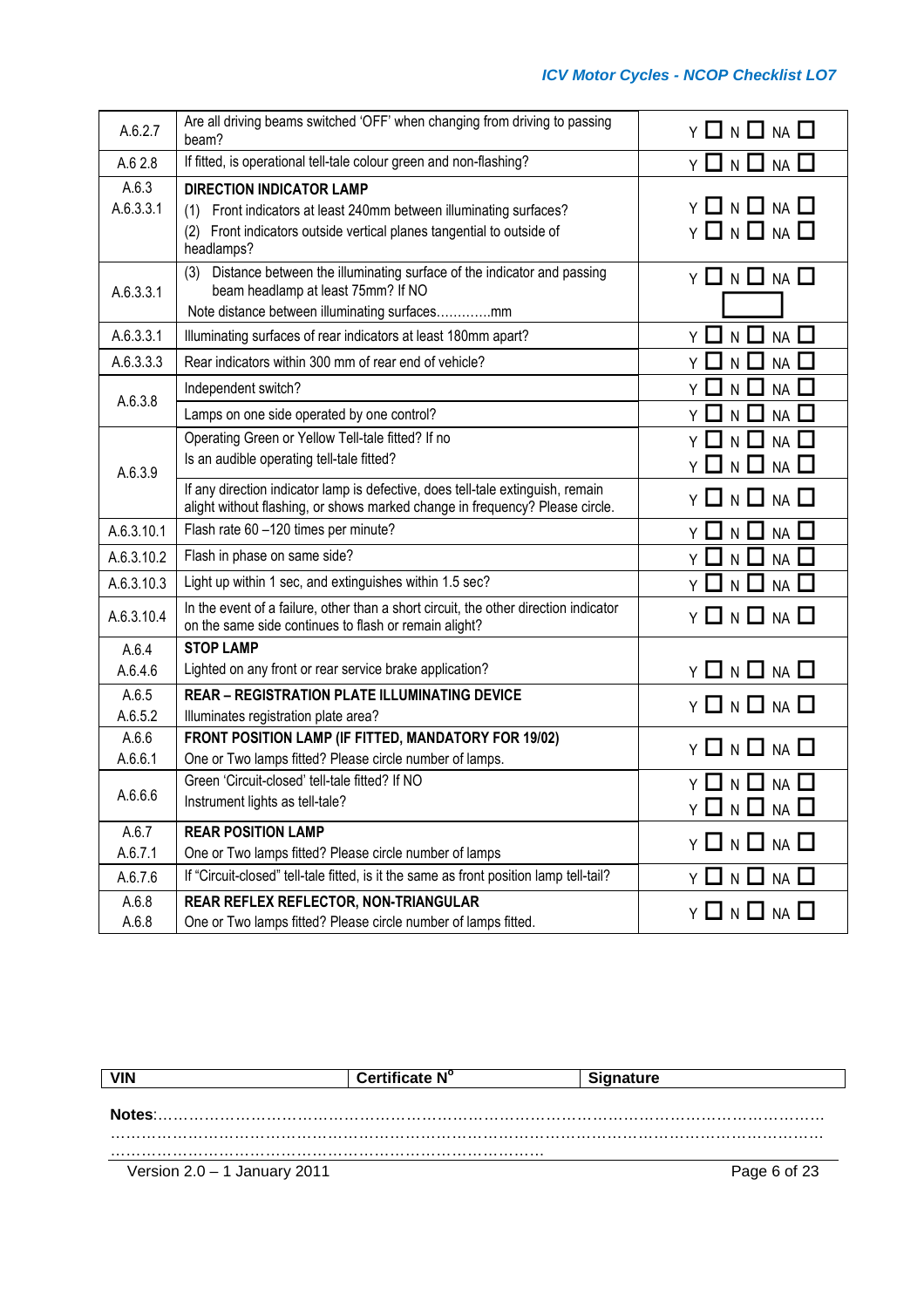| A.6.2.7<br>beam?                                                    | Are all driving beams switched 'OFF' when changing from driving to passing                                                                                      | Y 囗 N 囗 NA 囗                                    |
|---------------------------------------------------------------------|-----------------------------------------------------------------------------------------------------------------------------------------------------------------|-------------------------------------------------|
| A.6 2.8                                                             | If fitted, is operational tell-tale colour green and non-flashing?                                                                                              | Y 囗 N 囗 NA 囗                                    |
| A.6.3<br><b>DIRECTION INDICATOR LAMP</b><br>A.6.3.3.1<br>headlamps? | (1) Front indicators at least 240mm between illuminating surfaces?<br>(2) Front indicators outside vertical planes tangential to outside of                     | Y 囗 N 囗 NA 囗<br>Y 囗 N 囗 NA 囗                    |
| (3)<br>A.6.3.3.1                                                    | Distance between the illuminating surface of the indicator and passing<br>beam headlamp at least 75mm? If NO<br>Note distance between illuminating surfacesmm   | $Y \Box N \Box NA \Box$                         |
| A.6.3.3.1                                                           | Illuminating surfaces of rear indicators at least 180mm apart?                                                                                                  | $NA$ $\Box$<br>N $\Box$<br>YЦ                   |
| A.6.3.3.3                                                           | Rear indicators within 300 mm of rear end of vehicle?                                                                                                           | $NA$ $\Box$<br>N                                |
| Independent switch?                                                 |                                                                                                                                                                 | <b>NA</b><br>N.                                 |
| A.6.3.8                                                             | Lamps on one side operated by one control?                                                                                                                      | <b>NA</b><br>Y<br>N.                            |
| A.6.3.9                                                             | Operating Green or Yellow Tell-tale fitted? If no<br>Is an audible operating tell-tale fitted?                                                                  | Y<br><b>NA</b><br>N.<br>Y ∐ N □<br>$NA$ $\Box$  |
|                                                                     | If any direction indicator lamp is defective, does tell-tale extinguish, remain<br>alight without flashing, or shows marked change in frequency? Please circle. | Y 囗 N 囗 NA 囗                                    |
| A.6.3.10.1                                                          | Flash rate 60 -120 times per minute?                                                                                                                            | Y 囗 N 囗 NA 囗                                    |
| Flash in phase on same side?<br>A.6.3.10.2                          |                                                                                                                                                                 | $\Box$ N $\Box$<br>$NA$ $\Box$<br>Y             |
| A.6.3.10.3                                                          | Light up within 1 sec, and extinguishes within 1.5 sec?                                                                                                         | $NA$ $\Box$<br>Y ∐ N ∐                          |
| A.6.3.10.4                                                          | In the event of a failure, other than a short circuit, the other direction indicator<br>on the same side continues to flash or remain alight?                   | $Y \square N \square NA \square$                |
| <b>STOP LAMP</b><br>A.6.4                                           |                                                                                                                                                                 |                                                 |
| A.6.4.6                                                             | Lighted on any front or rear service brake application?                                                                                                         | Y 囗 N 囗 NA 囗                                    |
| A.6.5<br>A.6.5.2                                                    | <b>REAR - REGISTRATION PLATE ILLUMINATING DEVICE</b><br>Illuminates registration plate area?                                                                    | $Y \Box N \Box NA \Box$                         |
| A.6.6                                                               | FRONT POSITION LAMP (IF FITTED, MANDATORY FOR 19/02)                                                                                                            | Y 囗 N 囗 NA 囗                                    |
| A.6.6.1                                                             | One or Two lamps fitted? Please circle number of lamps.                                                                                                         |                                                 |
| A.6.6.6<br>Instrument lights as tell-tale?                          | Green 'Circuit-closed' tell-tale fitted? If NO                                                                                                                  | Y $\Box$ N $\Box$ NA<br>$Y \Box N \Box NA \Box$ |
| A.6.7<br><b>REAR POSITION LAMP</b>                                  |                                                                                                                                                                 | Y 囗 N 囗 NA 囗                                    |
| A.6.7.1                                                             | One or Two lamps fitted? Please circle number of lamps                                                                                                          |                                                 |
| A.6.7.6                                                             | If "Circuit-closed" tell-tale fitted, is it the same as front position lamp tell-tail?                                                                          | $Y \Box N \Box NA \Box$                         |
| REAR REFLEX REFLECTOR, NON-TRIANGULAR<br>A.6.8                      |                                                                                                                                                                 |                                                 |

| <b>VIN</b>                     | Certificate N° | <b>Signature</b> |
|--------------------------------|----------------|------------------|
| Notes:                         |                |                  |
|                                |                |                  |
| Version $2.0 - 1$ January 2011 |                | Page 6 of 23     |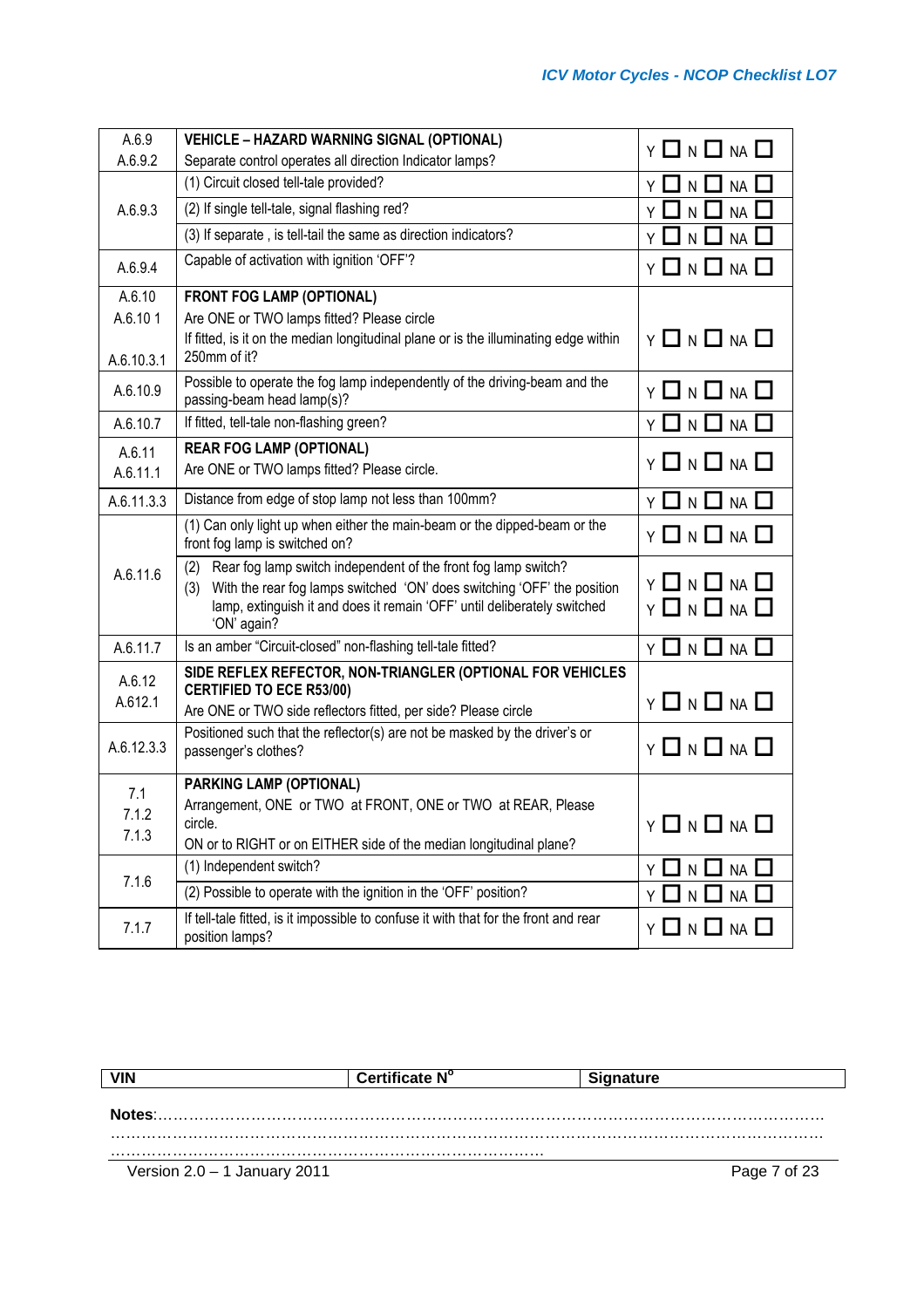| A.6.9                 | <b>VEHICLE - HAZARD WARNING SIGNAL (OPTIONAL)</b>                                                                                                                                                                                                  |                                  |
|-----------------------|----------------------------------------------------------------------------------------------------------------------------------------------------------------------------------------------------------------------------------------------------|----------------------------------|
| A.6.9.2               | Separate control operates all direction Indicator lamps?                                                                                                                                                                                           | $Y \Box N \Box NA \Box$          |
|                       | (1) Circuit closed tell-tale provided?                                                                                                                                                                                                             | $N$ $\Box$<br>NA<br>Υ□           |
| A.6.9.3               | (2) If single tell-tale, signal flashing red?                                                                                                                                                                                                      | NA<br>Y<br>$\mathsf{N}$          |
|                       | (3) If separate, is tell-tail the same as direction indicators?                                                                                                                                                                                    | NA<br>$N$ $\square$              |
| A.6.9.4               | Capable of activation with ignition 'OFF'?                                                                                                                                                                                                         | $Y \ \Box \ N \ \Box \ N \ \Box$ |
| A.6.10                | <b>FRONT FOG LAMP (OPTIONAL)</b>                                                                                                                                                                                                                   |                                  |
| A.6.101               | Are ONE or TWO lamps fitted? Please circle                                                                                                                                                                                                         |                                  |
| A.6.10.3.1            | If fitted, is it on the median longitudinal plane or is the illuminating edge within<br>250mm of it?                                                                                                                                               | $Y \Box N \Box NA \Box$          |
| A.6.10.9              | Possible to operate the fog lamp independently of the driving-beam and the<br>passing-beam head lamp(s)?                                                                                                                                           | $Y \Box N \Box NA \Box$          |
| A.6.10.7              | If fitted, tell-tale non-flashing green?                                                                                                                                                                                                           | $Y \Box N \Box NA \Box$          |
| A.6.11                | <b>REAR FOG LAMP (OPTIONAL)</b>                                                                                                                                                                                                                    |                                  |
| A.6.11.1              | Are ONE or TWO lamps fitted? Please circle.                                                                                                                                                                                                        | $Y \Box N \Box NA \Box$          |
| A.6.11.3.3            | Distance from edge of stop lamp not less than 100mm?                                                                                                                                                                                               | $Y \Box N \Box NA \Box$          |
|                       | (1) Can only light up when either the main-beam or the dipped-beam or the<br>front fog lamp is switched on?                                                                                                                                        | Y 囗 N 囗 NA 囗                     |
| A.6.11.6              | Rear fog lamp switch independent of the front fog lamp switch?<br>(2)<br>With the rear fog lamps switched 'ON' does switching 'OFF' the position<br>(3)<br>lamp, extinguish it and does it remain 'OFF' until deliberately switched<br>'ON' again? | Y □ N □ NA □<br>Y 囗 N 囗 NA 囗     |
| A.6.11.7              | Is an amber "Circuit-closed" non-flashing tell-tale fitted?                                                                                                                                                                                        | $Y \square N \square NA \square$ |
| A.6.12                | SIDE REFLEX REFECTOR, NON-TRIANGLER (OPTIONAL FOR VEHICLES<br><b>CERTIFIED TO ECE R53/00)</b>                                                                                                                                                      |                                  |
| A.612.1               | Are ONE or TWO side reflectors fitted, per side? Please circle                                                                                                                                                                                     | $Y \Box N \Box NA \Box$          |
| A.6.12.3.3            | Positioned such that the reflector(s) are not be masked by the driver's or<br>passenger's clothes?                                                                                                                                                 | Y 囗 N 囗 NA 囗                     |
| 7.1<br>7.1.2<br>7.1.3 | PARKING LAMP (OPTIONAL)<br>Arrangement, ONE or TWO at FRONT, ONE or TWO at REAR, Please<br>circle.<br>ON or to RIGHT or on EITHER side of the median longitudinal plane?                                                                           | $Y \Box N \Box NA \Box$          |
|                       | (1) Independent switch?                                                                                                                                                                                                                            | $NA$ $\Box$<br>N L<br>- 1<br>YЦ  |
| 7.1.6                 | (2) Possible to operate with the ignition in the 'OFF' position?                                                                                                                                                                                   | $NA$ $\square$<br>Υl<br>N I      |
| 7.1.7                 | If tell-tale fitted, is it impossible to confuse it with that for the front and rear<br>position lamps?                                                                                                                                            | Y 囗 N 囗 NA 囗                     |

| <b>VIN</b>                     | Certificate N° | <b>Signature</b> |
|--------------------------------|----------------|------------------|
| Notes:                         |                |                  |
|                                |                |                  |
| Version $2.0 - 1$ January 2011 |                | Page 7 of 23     |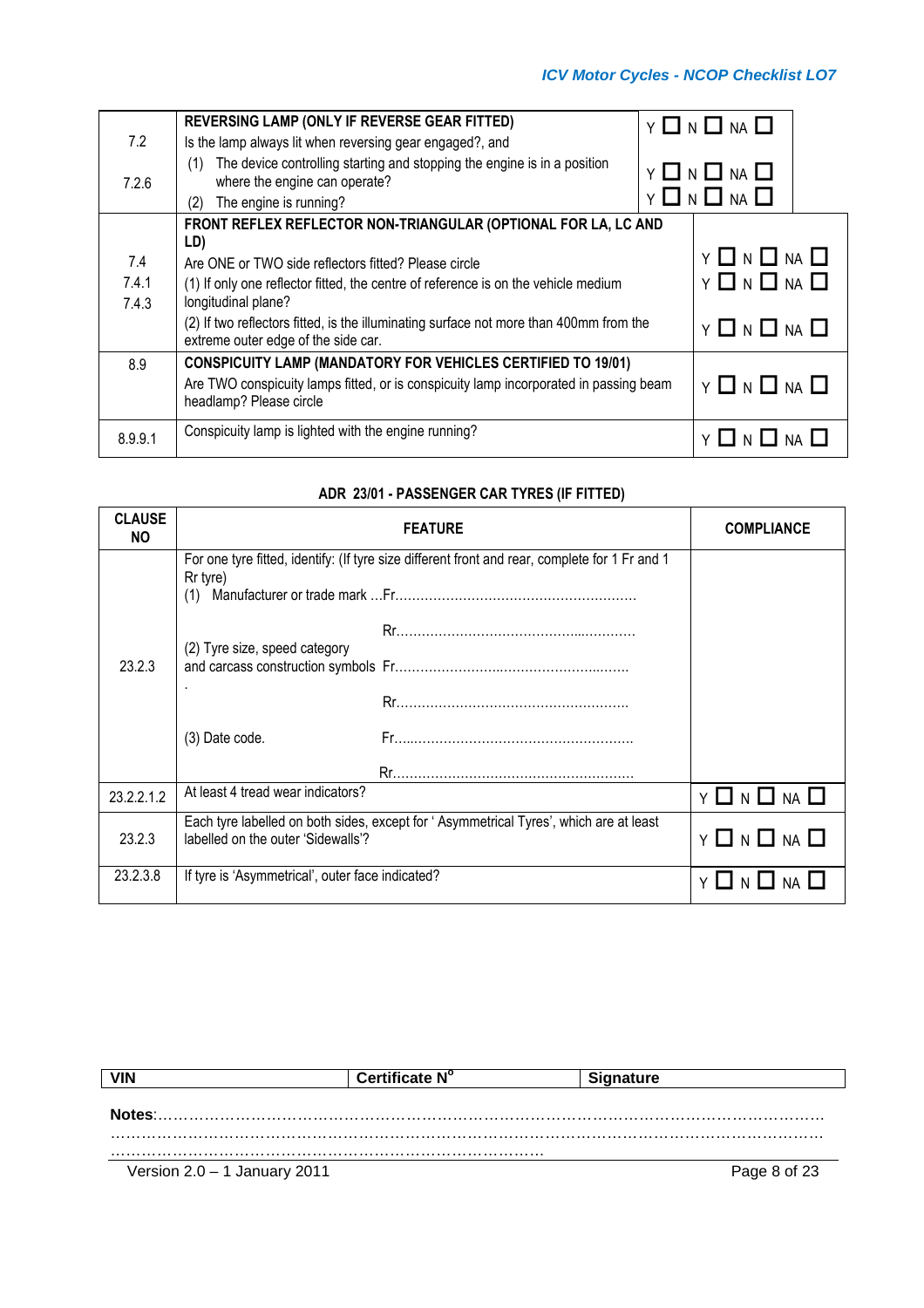|         | REVERSING LAMP (ONLY IF REVERSE GEAR FITTED)                                                                                  |  | $Y \square N \square NA \square$ |  |
|---------|-------------------------------------------------------------------------------------------------------------------------------|--|----------------------------------|--|
| 7.2     | Is the lamp always lit when reversing gear engaged?, and                                                                      |  |                                  |  |
| 7.2.6   | The device controlling starting and stopping the engine is in a position<br>(1)<br>where the engine can operate?              |  | Y O N O NA O                     |  |
|         | The engine is running?<br>(2)                                                                                                 |  | $Y \Box N \Box NA \Box$          |  |
|         | FRONT REFLEX REFLECTOR NON-TRIANGULAR (OPTIONAL FOR LA, LC AND                                                                |  |                                  |  |
|         | LD)                                                                                                                           |  |                                  |  |
| 7.4     | Are ONE or TWO side reflectors fitted? Please circle                                                                          |  | $Y \Box N \Box NA \Box$          |  |
| 7.4.1   | (1) If only one reflector fitted, the centre of reference is on the vehicle medium                                            |  | $Y \Box N \Box NA \Box$          |  |
| 7.4.3   | longitudinal plane?                                                                                                           |  |                                  |  |
|         | (2) If two reflectors fitted, is the illuminating surface not more than 400mm from the<br>extreme outer edge of the side car. |  | $Y \Box N \Box NA \Box$          |  |
| 8.9     | <b>CONSPICUITY LAMP (MANDATORY FOR VEHICLES CERTIFIED TO 19/01)</b>                                                           |  |                                  |  |
|         | Are TWO conspicuity lamps fitted, or is conspicuity lamp incorporated in passing beam<br>headlamp? Please circle              |  | $Y \Box N \Box NA \Box$          |  |
| 8.9.9.1 | Conspicuity lamp is lighted with the engine running?                                                                          |  | $\Box$ N $\Box$ NA $\Box$        |  |

# **ADR 23/01 - PASSENGER CAR TYRES (IF FITTED)**

| <b>CLAUSE</b><br>NO. |                                                  | <b>FEATURE</b>                                                                                 | <b>COMPLIANCE</b> |
|----------------------|--------------------------------------------------|------------------------------------------------------------------------------------------------|-------------------|
|                      | Rr tyre)<br>(1)                                  | For one tyre fitted, identify: (If tyre size different front and rear, complete for 1 Fr and 1 |                   |
| 23.2.3               | (2) Tyre size, speed category                    |                                                                                                |                   |
|                      | (3) Date code.                                   |                                                                                                |                   |
| 23.2.2.1.2           | At least 4 tread wear indicators?                |                                                                                                | Y □ N □ NA □      |
| 23.2.3               | labelled on the outer 'Sidewalls'?               | Each tyre labelled on both sides, except for 'Asymmetrical Tyres', which are at least          | Y □ N □ NA □      |
| 23.2.3.8             | If tyre is 'Asymmetrical', outer face indicated? |                                                                                                | YLIN              |

|                                | Certificate N° | <b>Signature</b> |
|--------------------------------|----------------|------------------|
|                                |                |                  |
| Notes:                         |                |                  |
|                                |                |                  |
| Version $2.0 - 1$ January 2011 |                | Page 8 of 23     |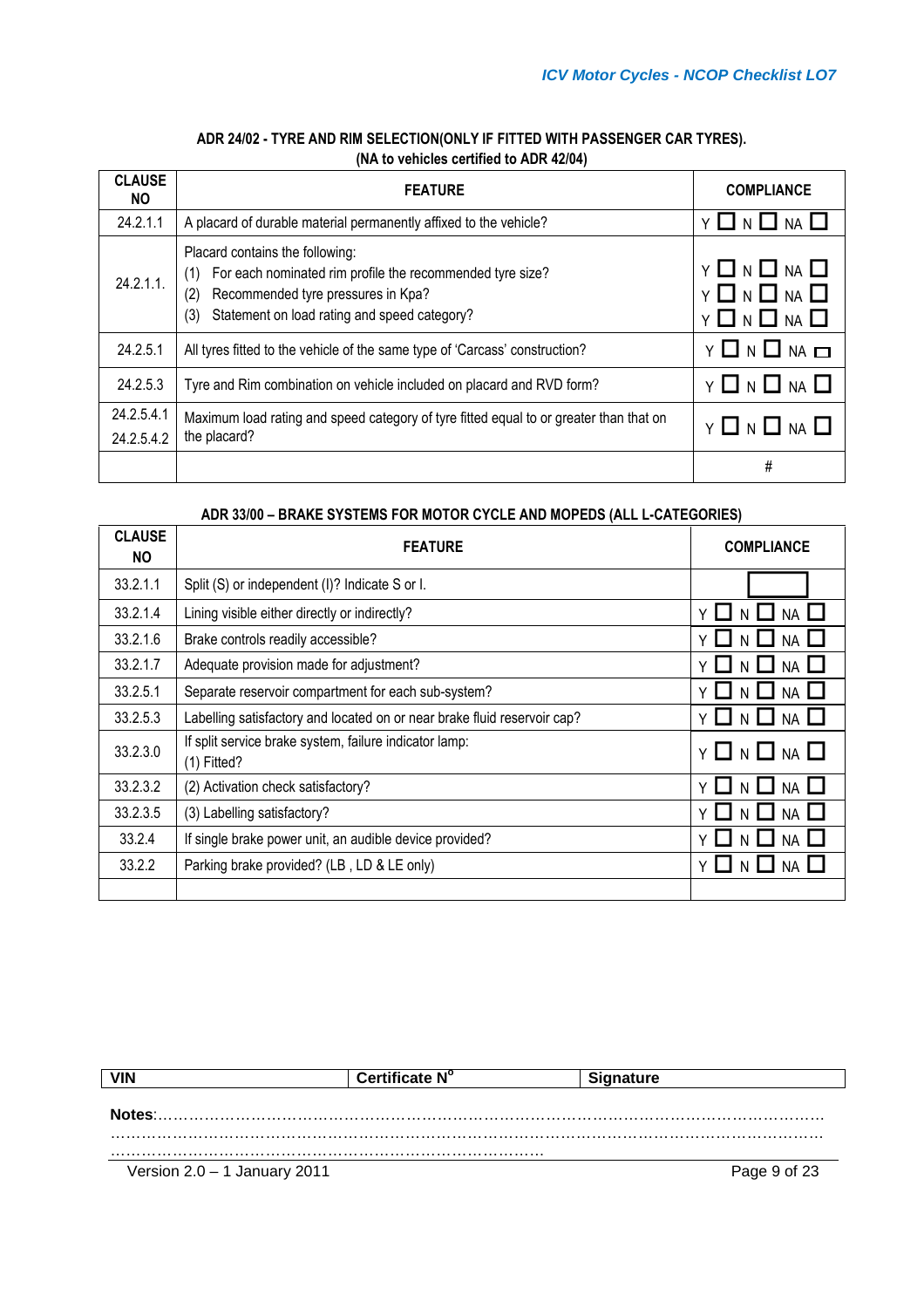| <b>CLAUSE</b><br>NO.     | <b>FEATURE</b>                                                                                                                                                                                          | <b>COMPLIANCE</b>                                                         |
|--------------------------|---------------------------------------------------------------------------------------------------------------------------------------------------------------------------------------------------------|---------------------------------------------------------------------------|
| 24.2.1.1                 | A placard of durable material permanently affixed to the vehicle?                                                                                                                                       | Y∐N∐<br><b>NA</b>                                                         |
| 24.2.1.1                 | Placard contains the following:<br>For each nominated rim profile the recommended tyre size?<br>(1)<br>Recommended tyre pressures in Kpa?<br>(2)<br>Statement on load rating and speed category?<br>(3) | Y <b>LI</b> N <b>I</b> NA <b>I</b><br><b>Y □ N □ NA □</b><br>Y □ N □ NA □ |
| 24.2.5.1                 | All tyres fitted to the vehicle of the same type of 'Carcass' construction?                                                                                                                             | $Y \Box N \Box NA \Box$                                                   |
| 24.2.5.3                 | Tyre and Rim combination on vehicle included on placard and RVD form?                                                                                                                                   | Y LI N LI NA L                                                            |
| 24.2.5.4.1<br>24.2.5.4.2 | Maximum load rating and speed category of tyre fitted equal to or greater than that on<br>the placard?                                                                                                  | Y □ N □<br>$NA$ $L$                                                       |
|                          |                                                                                                                                                                                                         | #                                                                         |

# **ADR 24/02 - TYRE AND RIM SELECTION(ONLY IF FITTED WITH PASSENGER CAR TYRES). (NA to vehicles certified to ADR 42/04)**

#### **ADR 33/00 – BRAKE SYSTEMS FOR MOTOR CYCLE AND MOPEDS (ALL L-CATEGORIES)**

| <b>CLAUSE</b><br>NO. | <b>FEATURE</b>                                                           | <b>COMPLIANCE</b>                  |
|----------------------|--------------------------------------------------------------------------|------------------------------------|
| 33.2.1.1             | Split (S) or independent (I)? Indicate S or I.                           |                                    |
| 33.2.1.4             | Lining visible either directly or indirectly?                            | <b>NA</b><br>$\checkmark$          |
| 33.2.1.6             | Brake controls readily accessible?                                       | <b>NA</b>                          |
| 33.2.1.7             | Adequate provision made for adjustment?                                  | <b>NA</b>                          |
| 33.2.5.1             | Separate reservoir compartment for each sub-system?                      | <b>NA</b>                          |
| 33.2.5.3             | Labelling satisfactory and located on or near brake fluid reservoir cap? | Y LI N LI NA I                     |
| 33.2.3.0             | If split service brake system, failure indicator lamp:<br>$(1)$ Fitted?  | $Y \ \Box \ N \ \Box \ N A \ \Box$ |
| 33.2.3.2             | (2) Activation check satisfactory?                                       | <b>NA</b>                          |
| 33.2.3.5             | (3) Labelling satisfactory?                                              | <b>NA</b>                          |
| 33.2.4               | If single brake power unit, an audible device provided?                  |                                    |
| 33.2.2               | Parking brake provided? (LB, LD & LE only)                               |                                    |
|                      |                                                                          |                                    |

| <b>VIN</b>                     | Certificate N° | <b>Signature</b> |              |
|--------------------------------|----------------|------------------|--------------|
|                                |                |                  |              |
| Notes:                         |                |                  |              |
|                                |                |                  |              |
| Version $2.0 - 1$ January 2011 |                |                  | Page 9 of 23 |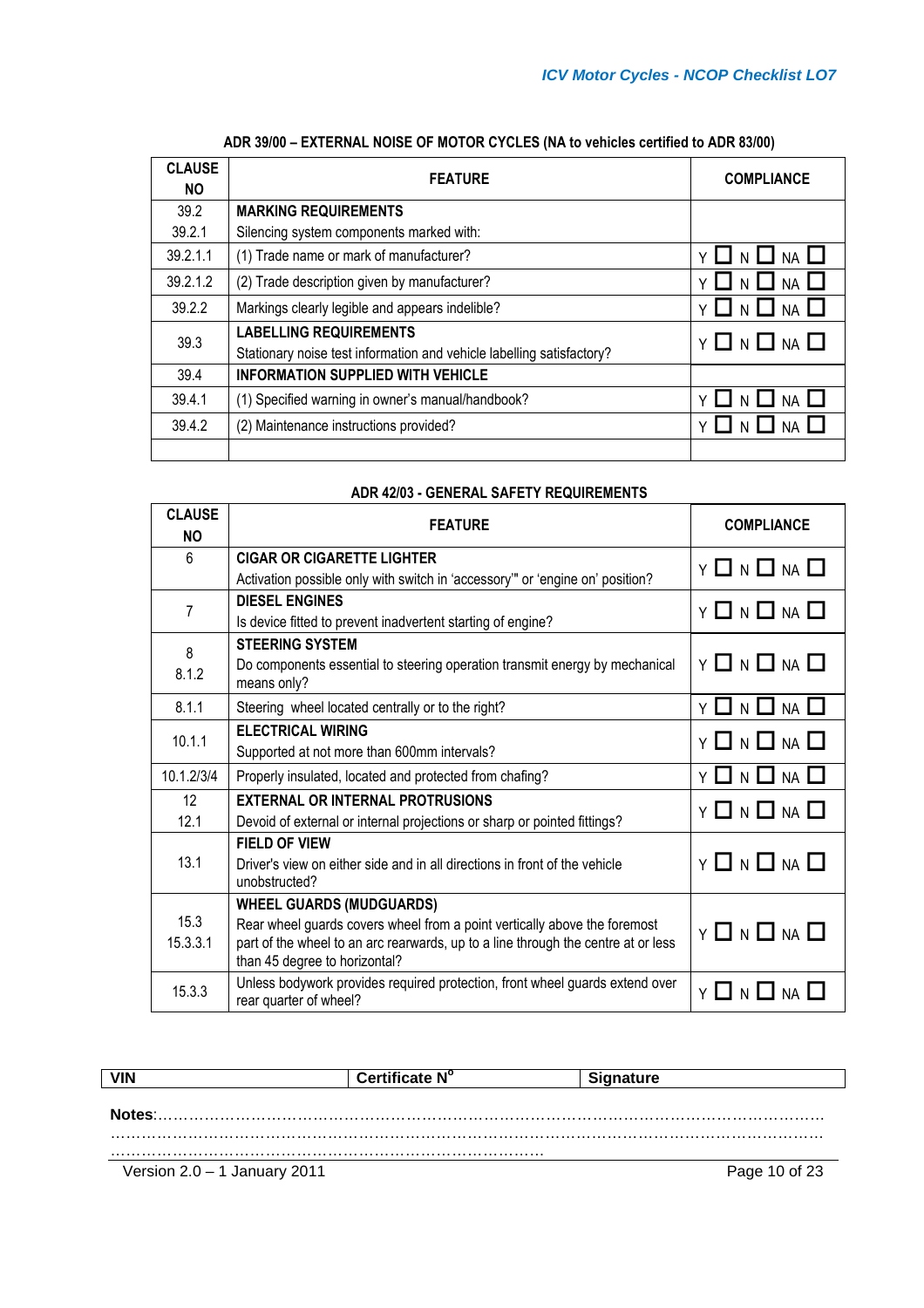| <b>CLAUSE</b><br><b>NO</b> | <b>FEATURE</b>                                                        | <b>COMPLIANCE</b>       |
|----------------------------|-----------------------------------------------------------------------|-------------------------|
| 39.2                       | <b>MARKING REQUIREMENTS</b>                                           |                         |
| 39.2.1                     | Silencing system components marked with:                              |                         |
| 39.2.1.1                   | (1) Trade name or mark of manufacturer?                               | <b>NA</b>               |
| 39.2.1.2                   | (2) Trade description given by manufacturer?                          | <b>NA</b>               |
| 39.2.2                     | Markings clearly legible and appears indelible?                       | <b>NA</b>               |
| 39.3                       | <b>LABELLING REQUIREMENTS</b>                                         | $Y \Box N \Box NA \Box$ |
|                            | Stationary noise test information and vehicle labelling satisfactory? |                         |
| 39.4                       | <b>INFORMATION SUPPLIED WITH VEHICLE</b>                              |                         |
| 39.4.1                     | (1) Specified warning in owner's manual/handbook?                     |                         |
| 39.4.2                     | (2) Maintenance instructions provided?                                |                         |
|                            |                                                                       |                         |

## **ADR 39/00 – EXTERNAL NOISE OF MOTOR CYCLES (NA to vehicles certified to ADR 83/00)**

#### **ADR 42/03 - GENERAL SAFETY REQUIREMENTS**

| <b>ADR 42/03 - GENERAL SAFETY REQUIREMENTS</b> |                                                                                                                                                                                                                                    |                                  |  |
|------------------------------------------------|------------------------------------------------------------------------------------------------------------------------------------------------------------------------------------------------------------------------------------|----------------------------------|--|
| <b>CLAUSE</b><br><b>NO</b>                     | <b>FEATURE</b>                                                                                                                                                                                                                     | <b>COMPLIANCE</b>                |  |
| 6                                              | <b>CIGAR OR CIGARETTE LIGHTER</b><br>Activation possible only with switch in 'accessory'" or 'engine on' position?                                                                                                                 | $Y \square N \square NA \square$ |  |
| $\overline{7}$                                 | <b>DIESEL ENGINES</b><br>Is device fitted to prevent inadvertent starting of engine?                                                                                                                                               | $Y \Box N \Box NA \Box$          |  |
| 8<br>8.1.2                                     | <b>STEERING SYSTEM</b><br>Do components essential to steering operation transmit energy by mechanical<br>means only?                                                                                                               | $Y \Box N \Box NA \Box$          |  |
| 8.1.1                                          | Steering wheel located centrally or to the right?                                                                                                                                                                                  | $Y \square N \square NA \square$ |  |
| 10.1.1                                         | <b>ELECTRICAL WIRING</b><br>Supported at not more than 600mm intervals?                                                                                                                                                            | $Y \Box N \Box NA \Box$          |  |
| 10.1.2/3/4                                     | Properly insulated, located and protected from chafing?                                                                                                                                                                            | <b>Y □ N □ NA □</b>              |  |
| 12<br>12.1                                     | <b>EXTERNAL OR INTERNAL PROTRUSIONS</b><br>Devoid of external or internal projections or sharp or pointed fittings?                                                                                                                | $Y \Box N \Box NA \Box$          |  |
| 13.1                                           | <b>FIELD OF VIEW</b><br>Driver's view on either side and in all directions in front of the vehicle<br>unobstructed?                                                                                                                | Y 囗 N 囗 NA 囗                     |  |
| 15.3<br>15.3.3.1                               | <b>WHEEL GUARDS (MUDGUARDS)</b><br>Rear wheel guards covers wheel from a point vertically above the foremost<br>part of the wheel to an arc rearwards, up to a line through the centre at or less<br>than 45 degree to horizontal? | $Y \Box N \Box NA \Box$          |  |
| 15.3.3                                         | Unless bodywork provides required protection, front wheel guards extend over<br>rear quarter of wheel?                                                                                                                             | Y □ N □ NA □                     |  |

| <b>VIN</b>                   | Certificate N° | <b>Signature</b> |  |
|------------------------------|----------------|------------------|--|
|                              |                |                  |  |
| Notes:                       |                |                  |  |
|                              |                |                  |  |
| Version 2.0 - 1 January 2011 |                | Page 10 of 23    |  |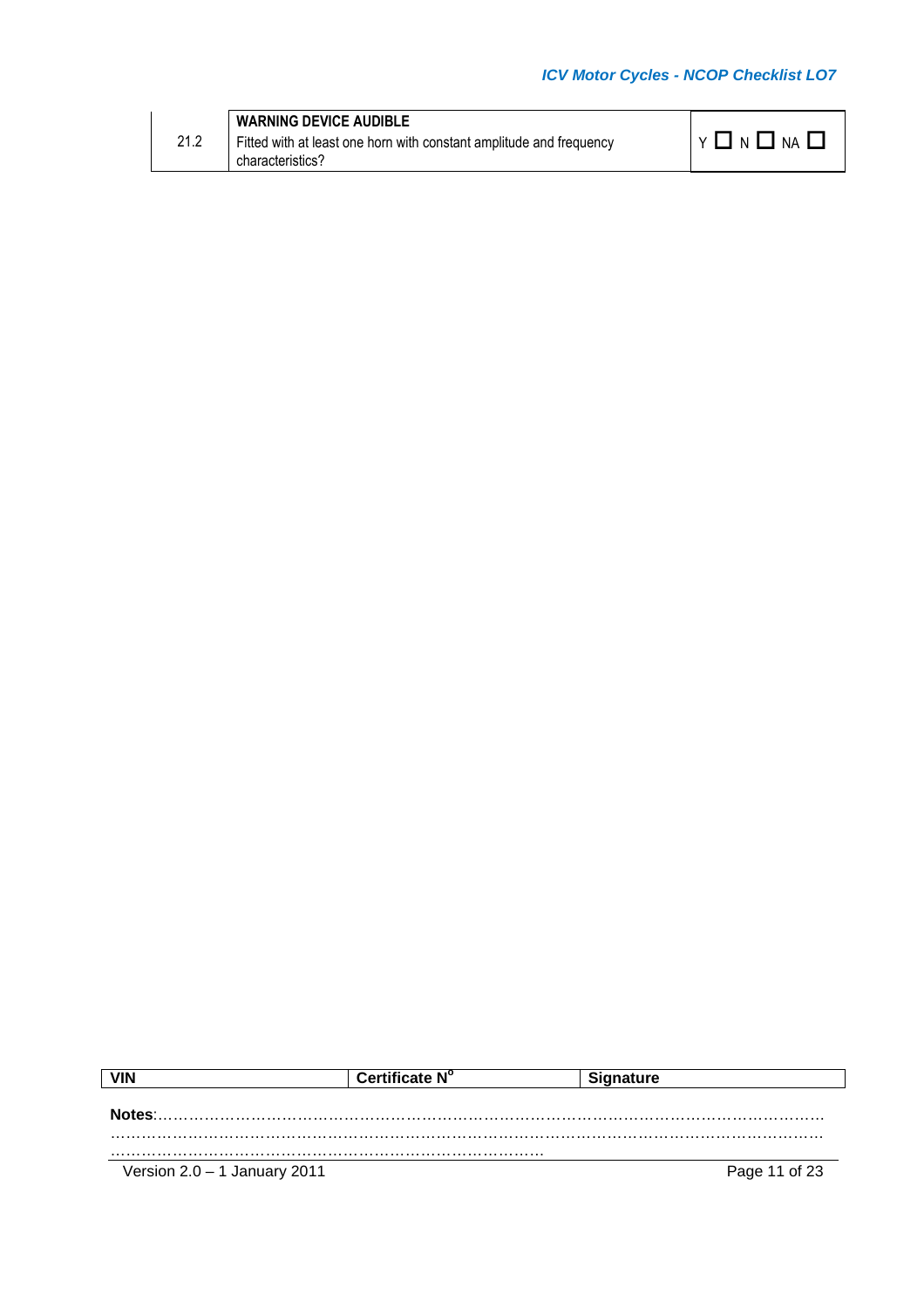| <b>WARNING DEVICE AUDIBLE</b><br>21.2<br>$'$ NA $\Box$<br>YINII<br>Fitted with at least one horn with constant amplitude and frequency<br>characteristics? |
|------------------------------------------------------------------------------------------------------------------------------------------------------------|
|------------------------------------------------------------------------------------------------------------------------------------------------------------|

| VIN                            | Certificate N° | <b>Signature</b> |               |
|--------------------------------|----------------|------------------|---------------|
| Notes:                         |                |                  |               |
|                                |                |                  |               |
|                                |                |                  |               |
| Version $2.0 - 1$ January 2011 |                |                  | Page 11 of 23 |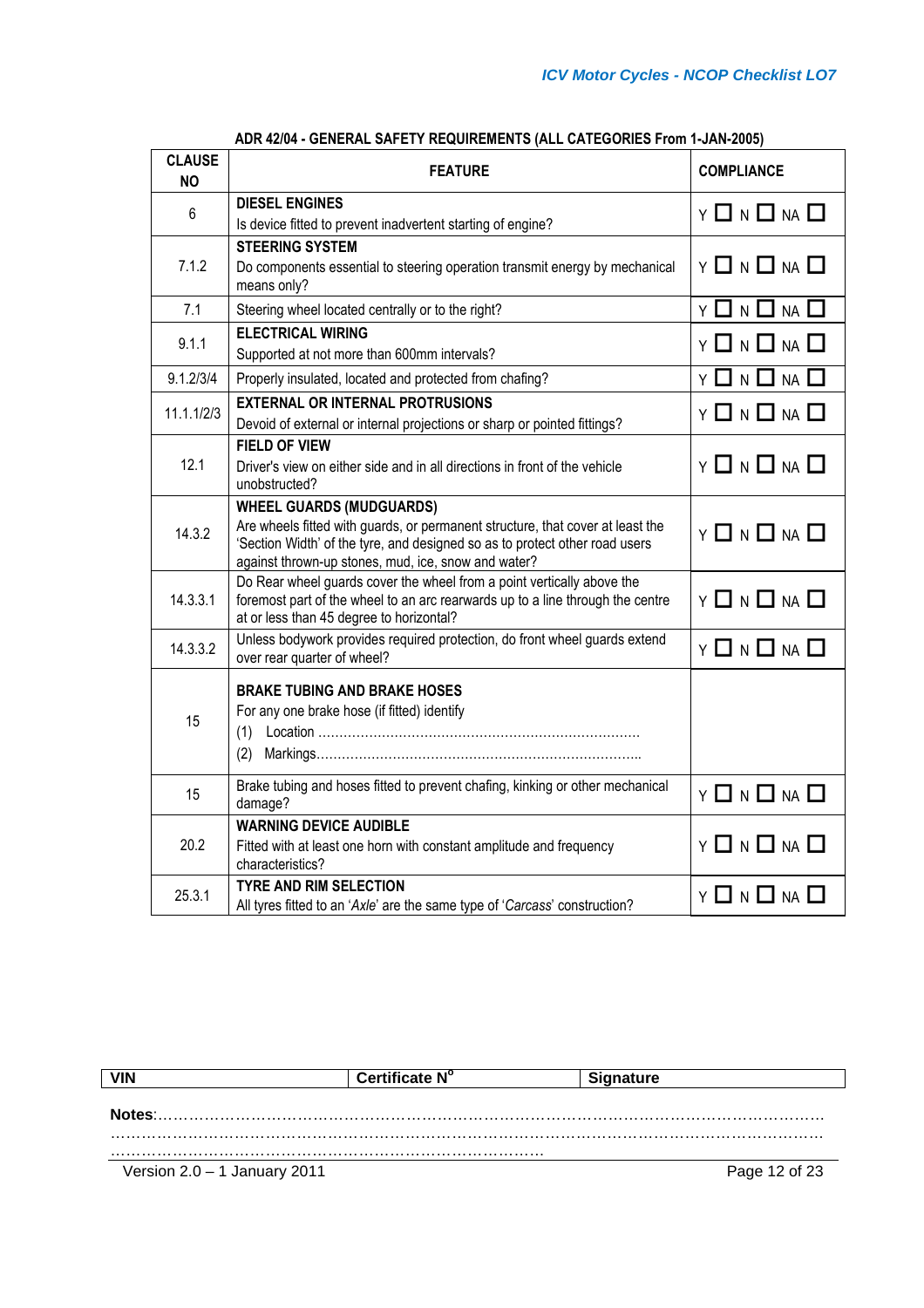| <b>CLAUSE</b><br><b>NO</b> | <b>FEATURE</b>                                                                                                                                                                                                                                          | <b>COMPLIANCE</b>                    |
|----------------------------|---------------------------------------------------------------------------------------------------------------------------------------------------------------------------------------------------------------------------------------------------------|--------------------------------------|
| 6                          | <b>DIESEL ENGINES</b><br>Is device fitted to prevent inadvertent starting of engine?                                                                                                                                                                    | $Y \Box N \Box NA \Box$              |
| 7.1.2                      | <b>STEERING SYSTEM</b><br>Do components essential to steering operation transmit energy by mechanical<br>means only?                                                                                                                                    | $Y \ \Box \ N \ \Box \ N \ A \ \Box$ |
| 7.1                        | Steering wheel located centrally or to the right?                                                                                                                                                                                                       | $Y \Box N \Box NA \Box$              |
| 9.1.1                      | <b>ELECTRICAL WIRING</b><br>Supported at not more than 600mm intervals?                                                                                                                                                                                 | Y 囗 N 囗 NA 囗                         |
| 9.1.2/3/4                  | Properly insulated, located and protected from chafing?                                                                                                                                                                                                 | Y 囗 N 囗 NA 囗                         |
| 11.1.1/2/3                 | <b>EXTERNAL OR INTERNAL PROTRUSIONS</b><br>Devoid of external or internal projections or sharp or pointed fittings?                                                                                                                                     | Y 囗 N 囗 NA 囗                         |
| 12.1                       | <b>FIELD OF VIEW</b><br>Driver's view on either side and in all directions in front of the vehicle<br>unobstructed?                                                                                                                                     | Y 囗 N 囗 NA 囗                         |
| 14.3.2                     | <b>WHEEL GUARDS (MUDGUARDS)</b><br>Are wheels fitted with guards, or permanent structure, that cover at least the<br>'Section Width' of the tyre, and designed so as to protect other road users<br>against thrown-up stones, mud, ice, snow and water? | $Y \Box N \Box NA \Box$              |
| 14.3.3.1                   | Do Rear wheel guards cover the wheel from a point vertically above the<br>foremost part of the wheel to an arc rearwards up to a line through the centre<br>at or less than 45 degree to horizontal?                                                    | $Y \Box N \Box NA \Box$              |
| 14.3.3.2                   | Unless bodywork provides required protection, do front wheel guards extend<br>over rear quarter of wheel?                                                                                                                                               | Y 囗 N 囗 NA 囗                         |
| 15                         | <b>BRAKE TUBING AND BRAKE HOSES</b><br>For any one brake hose (if fitted) identify                                                                                                                                                                      |                                      |
| 15                         | Brake tubing and hoses fitted to prevent chafing, kinking or other mechanical<br>damage?                                                                                                                                                                | $Y \ \Box \ N \ \Box \ N \ \Box$     |
| 20.2                       | <b>WARNING DEVICE AUDIBLE</b><br>Fitted with at least one horn with constant amplitude and frequency<br>characteristics?                                                                                                                                | $Y \ \Box \ N \ \Box \ N \ \Box$     |
| 25.3.1                     | <b>TYRE AND RIM SELECTION</b><br>All tyres fitted to an 'Axle' are the same type of 'Carcass' construction?                                                                                                                                             | Y 囗 N 囗 NA 囗                         |

## **ADR 42/04 - GENERAL SAFETY REQUIREMENTS (ALL CATEGORIES From 1-JAN-2005)**

| <b>VIN</b>                     | Certificate N° | <b>Signature</b> |
|--------------------------------|----------------|------------------|
|                                |                |                  |
| Notes:                         |                |                  |
|                                |                |                  |
|                                |                |                  |
| Version $2.0 - 1$ January 2011 |                | Page 12 of 23    |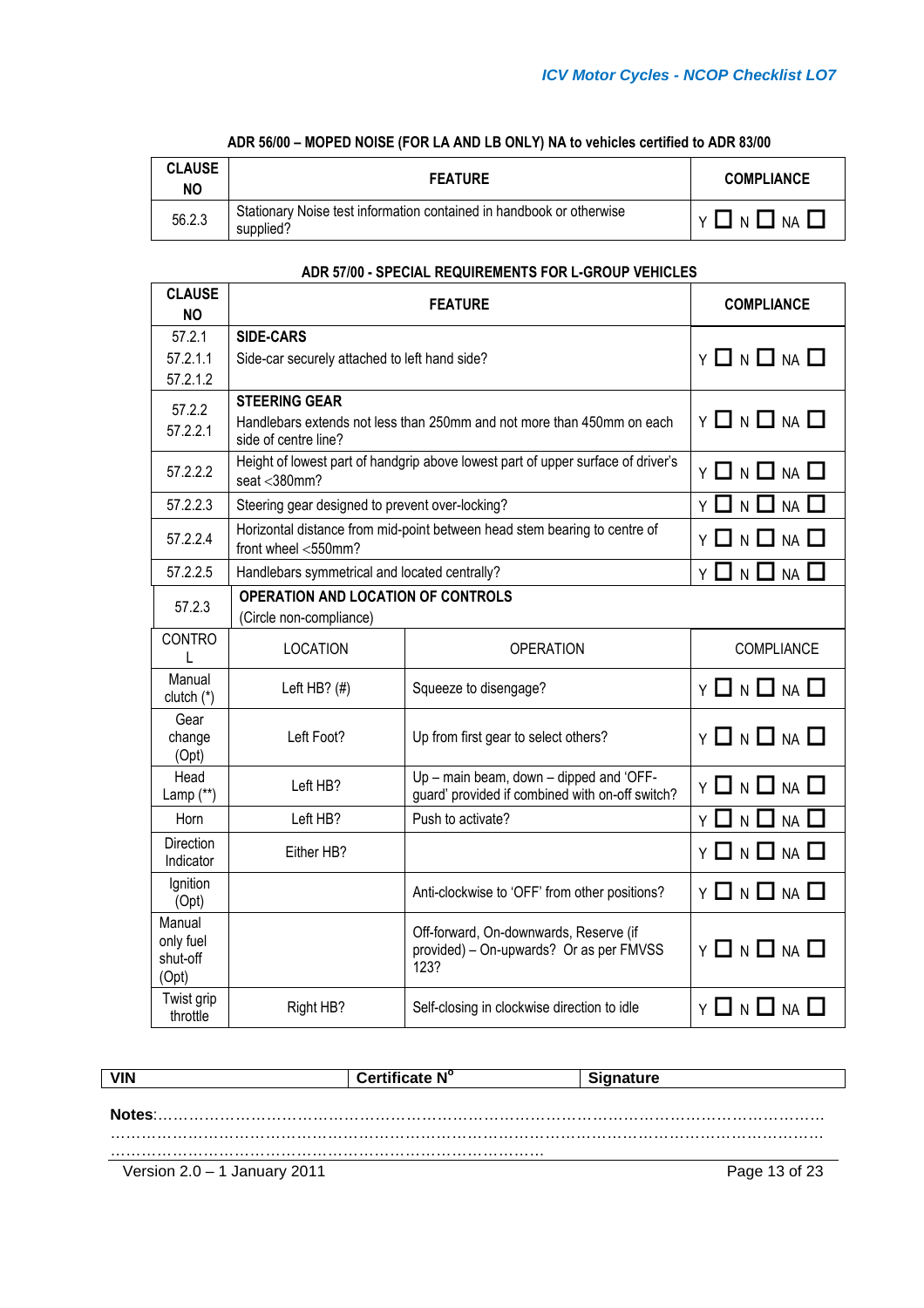| <b>CLAUSE</b><br>NO | <b>FEATURE</b>                                                                    | <b>COMPLIANCE</b> |
|---------------------|-----------------------------------------------------------------------------------|-------------------|
| 56.2.3              | Stationary Noise test information contained in handbook or otherwise<br>supplied? | 1 N 1 1<br>NA I   |

# **ADR 56/00 – MOPED NOISE (FOR LA AND LB ONLY) NA to vehicles certified to ADR 83/00**

## **ADR 57/00 - SPECIAL REQUIREMENTS FOR L-GROUP VEHICLES**

| <b>CLAUSE</b><br><b>NO</b>               | <b>FEATURE</b>                                                       |                                                                                            | <b>COMPLIANCE</b>                                        |
|------------------------------------------|----------------------------------------------------------------------|--------------------------------------------------------------------------------------------|----------------------------------------------------------|
| 57.2.1                                   | <b>SIDE-CARS</b>                                                     |                                                                                            |                                                          |
| 57.2.1.1                                 | Side-car securely attached to left hand side?                        |                                                                                            | $Y \Box N \Box NA \Box$                                  |
| 57.2.1.2                                 |                                                                      |                                                                                            |                                                          |
| 57.2.2<br>57.2.2.1                       | <b>STEERING GEAR</b><br>side of centre line?                         | Handlebars extends not less than 250mm and not more than 450mm on each                     | $Y \Box N \Box NA \Box$                                  |
| 57.2.2.2                                 | seat $<$ 380 $mm$ ?                                                  | Height of lowest part of handgrip above lowest part of upper surface of driver's           | Y 囗 N 囗 NA 囗                                             |
| 57.2.2.3                                 | Steering gear designed to prevent over-locking?                      |                                                                                            | N<br>NA I<br>ΥI                                          |
| 57.2.2.4                                 | front wheel <550mm?                                                  | Horizontal distance from mid-point between head stem bearing to centre of                  | $Y \mathbin{\Box} N \mathbin{\Box} N$ a $\mathbin{\Box}$ |
| 57.2.2.5                                 | Handlebars symmetrical and located centrally?                        |                                                                                            | <b>NA</b><br>I א L<br>Y                                  |
| 57.2.3                                   | <b>OPERATION AND LOCATION OF CONTROLS</b><br>(Circle non-compliance) |                                                                                            |                                                          |
| <b>CONTRO</b><br>L                       | <b>LOCATION</b>                                                      | <b>OPERATION</b>                                                                           | <b>COMPLIANCE</b>                                        |
| Manual<br>clutch $(*)$                   | Left HB? $($ #)                                                      | Squeeze to disengage?                                                                      | Y 囗 N 囗 NA 囗                                             |
| Gear<br>change<br>(Opt)                  | Left Foot?                                                           | Up from first gear to select others?                                                       | Υ                                                        |
| Head<br>Lamp (**)                        | Left HB?                                                             | Up - main beam, down - dipped and 'OFF-<br>guard' provided if combined with on-off switch? | Y 囗 N 囗 NA 囗                                             |
| Horn                                     | Left HB?                                                             | Push to activate?                                                                          | $N \Box$<br><b>NA</b><br>ΥI                              |
| <b>Direction</b><br>Indicator            | Either HB?                                                           |                                                                                            | $Y \ \Box \ N \ \Box \ N A \ \Box$                       |
| Ignition<br>(Opt)                        |                                                                      | Anti-clockwise to 'OFF' from other positions?                                              | $Y \square N \square NA \square$                         |
| Manual<br>only fuel<br>shut-off<br>(Opt) |                                                                      | Off-forward, On-downwards, Reserve (if<br>provided) - On-upwards? Or as per FMVSS<br>123?  | Y 囗 N 囗 NA 囗                                             |
| Twist grip<br>throttle                   | Right HB?                                                            | Self-closing in clockwise direction to idle                                                | ᆜ N L┛№ │<br>ΥI                                          |

| <b>VIN</b>                     | Certificate N° | <b>Signature</b> |
|--------------------------------|----------------|------------------|
|                                |                |                  |
|                                |                |                  |
|                                |                |                  |
|                                |                |                  |
| Version $2.0 - 1$ January 2011 |                | Page 13 of 23    |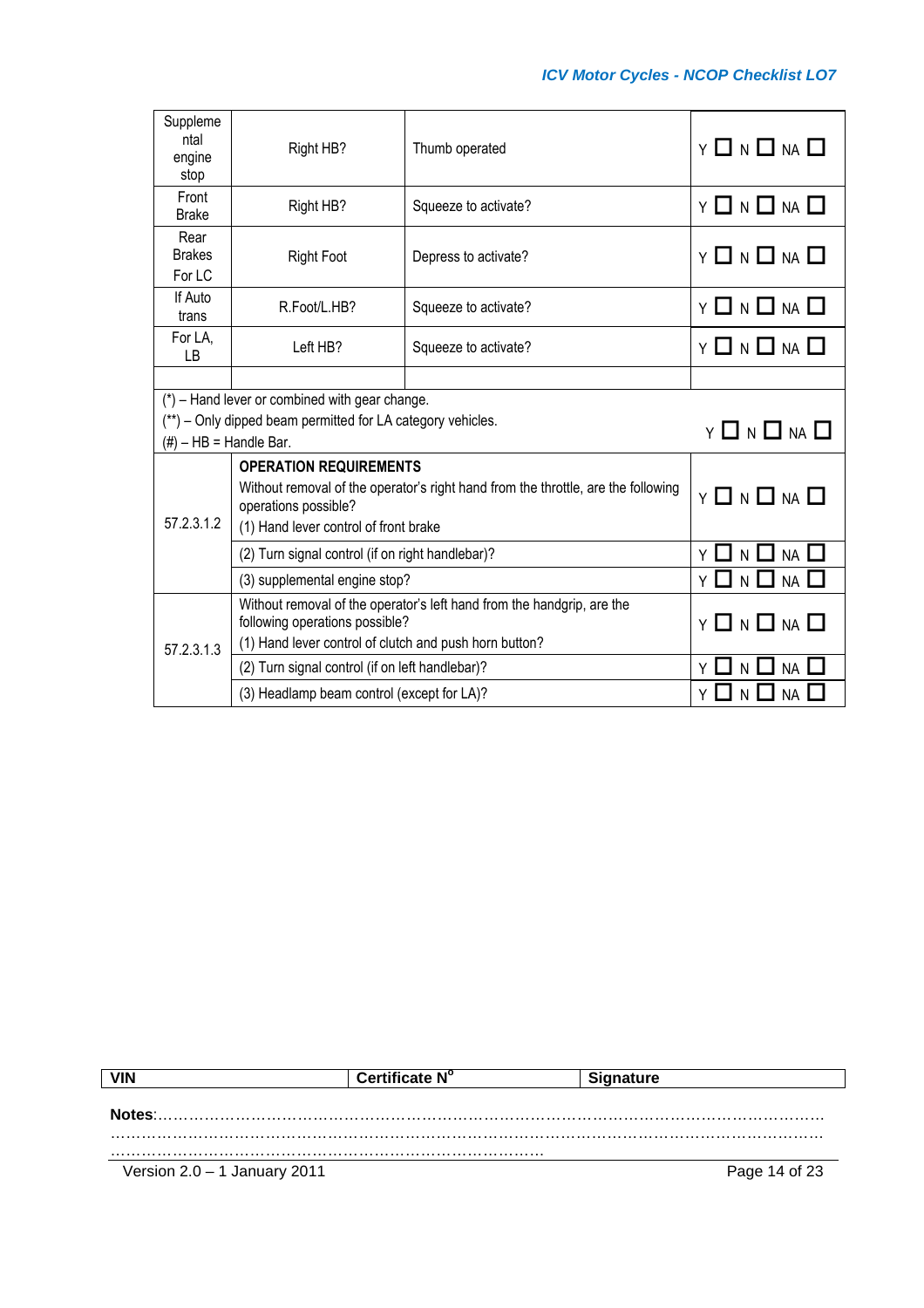| Suppleme<br>ntal<br>engine<br>stop                                                     | Right HB?                                                                                                 | Thumb operated       | $Y \ \Box \ N \ \Box \ N \ A \ \Box$                     |
|----------------------------------------------------------------------------------------|-----------------------------------------------------------------------------------------------------------|----------------------|----------------------------------------------------------|
| Front<br><b>Brake</b>                                                                  | Right HB?                                                                                                 | Squeeze to activate? | $Y \Box N \Box NA \Box$                                  |
| Rear<br><b>Brakes</b><br>For LC                                                        | <b>Right Foot</b>                                                                                         | Depress to activate? | $Y \ \Box \ N \ \Box \ N \ A \ \Box$                     |
| If Auto<br>trans                                                                       | R.Foot/L.HB?                                                                                              | Squeeze to activate? | $Y \mathbin{\Box} N \mathbin{\Box} N$ a $\mathbin{\Box}$ |
| For LA,<br>LB                                                                          | Left HB?                                                                                                  | Squeeze to activate? | Y 囗 N 囗 NA 囗                                             |
|                                                                                        |                                                                                                           |                      |                                                          |
| $(*)$ – Hand lever or combined with gear change.                                       |                                                                                                           |                      |                                                          |
| (**) – Only dipped beam permitted for LA category vehicles.<br>$Y \Box N \Box NA \Box$ |                                                                                                           |                      |                                                          |
| $(\#)$ – HB = Handle Bar.                                                              |                                                                                                           |                      |                                                          |
|                                                                                        | <b>OPERATION REQUIREMENTS</b>                                                                             |                      |                                                          |
|                                                                                        | Without removal of the operator's right hand from the throttle, are the following<br>operations possible? |                      | $Y \Box N \Box NA \Box$                                  |
| 57.2.3.1.2                                                                             | (1) Hand lever control of front brake                                                                     |                      |                                                          |
|                                                                                        | (2) Turn signal control (if on right handlebar)?                                                          |                      | N<br><b>NA</b>                                           |
|                                                                                        | (3) supplemental engine stop?                                                                             |                      | N L<br>$\sqcup$ na $\sqcup$                              |
|                                                                                        | Without removal of the operator's left hand from the handgrip, are the<br>following operations possible?  |                      | Y 囗 N 囗 NA 囗                                             |
| 57.2.3.1.3                                                                             | (1) Hand lever control of clutch and push horn button?                                                    |                      |                                                          |
|                                                                                        | (2) Turn signal control (if on left handlebar)?                                                           |                      | $\mathsf{N}$<br><b>NA</b>                                |
|                                                                                        | (3) Headlamp beam control (except for LA)?                                                                |                      | <b>NA</b>                                                |

| VIN                            | Certificate N° | <b>Signature</b> |
|--------------------------------|----------------|------------------|
|                                |                |                  |
| Notes:                         |                |                  |
|                                |                |                  |
|                                |                |                  |
| Version $2.0 - 1$ January 2011 |                | Page 14 of 23    |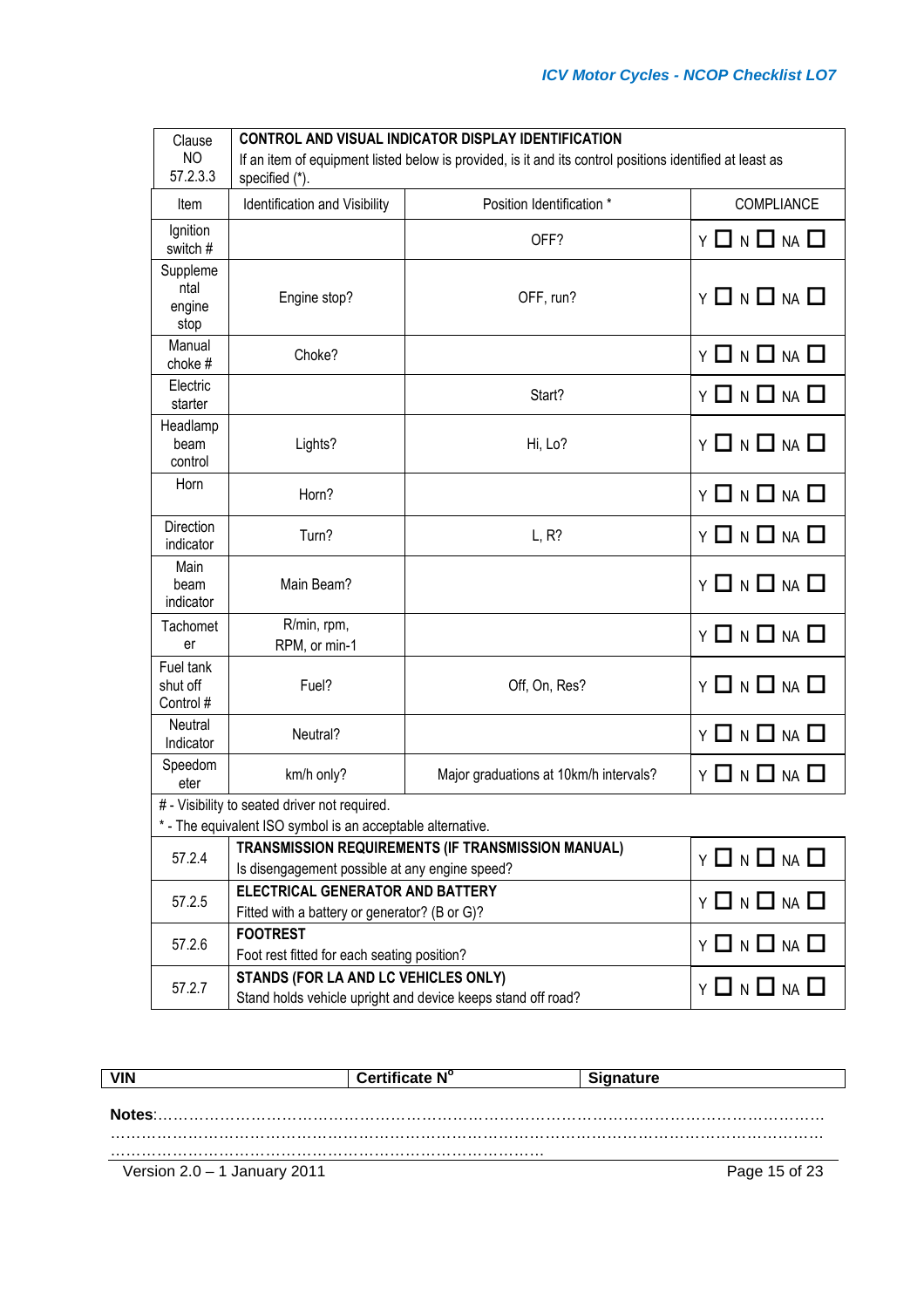| Clause                             | <b>CONTROL AND VISUAL INDICATOR DISPLAY IDENTIFICATION</b>                                                                 |                                        |                                      |  |  |  |  |
|------------------------------------|----------------------------------------------------------------------------------------------------------------------------|----------------------------------------|--------------------------------------|--|--|--|--|
| N <sub>O</sub><br>57.2.3.3         | If an item of equipment listed below is provided, is it and its control positions identified at least as<br>specified (*). |                                        |                                      |  |  |  |  |
|                                    | Position Identification *<br>COMPLIANCE                                                                                    |                                        |                                      |  |  |  |  |
| Item                               | Identification and Visibility                                                                                              |                                        |                                      |  |  |  |  |
| Ignition<br>switch #               |                                                                                                                            | OFF?                                   | <b>Y 囗 N 囗 NA 囗</b>                  |  |  |  |  |
| Suppleme<br>ntal<br>engine<br>stop | Engine stop?                                                                                                               | OFF, run?                              | $Y \Box N \Box NA \Box$              |  |  |  |  |
| Manual<br>choke #                  | Choke?                                                                                                                     |                                        | $Y \square N \square NA \square$     |  |  |  |  |
| Electric<br>starter                |                                                                                                                            | Start?                                 | Y 囗 N 囗 NA 囗                         |  |  |  |  |
| Headlamp<br>beam<br>control        | Lights?                                                                                                                    | Hi, Lo?                                | $Y \Box N \Box NA \Box$              |  |  |  |  |
| Horn                               | Horn?                                                                                                                      |                                        | $Y \ \Box \ N \ \Box \ N \ A \ \Box$ |  |  |  |  |
| Direction<br>indicator             | Turn?                                                                                                                      | L, R?                                  | $Y \Box N \Box NA \Box$              |  |  |  |  |
| Main<br>beam<br>indicator          | Main Beam?                                                                                                                 |                                        | $Y \ \Box \ N \ \Box \ N \ A \ \Box$ |  |  |  |  |
| Tachomet                           | R/min, rpm,                                                                                                                |                                        | Y 囗 N 囗 NA 囗                         |  |  |  |  |
| er                                 | RPM, or min-1                                                                                                              |                                        |                                      |  |  |  |  |
| Fuel tank<br>shut off<br>Control # | Fuel?                                                                                                                      | Off, On, Res?                          | $Y \square N \square NA \square$     |  |  |  |  |
| Neutral<br>Indicator               | Neutral?                                                                                                                   |                                        | Y 囗 N 囗 NA 囗                         |  |  |  |  |
| Speedom<br>eter                    | km/h only?                                                                                                                 | Major graduations at 10km/h intervals? | Y 囗 N 囗 NA 囗                         |  |  |  |  |
|                                    | # - Visibility to seated driver not required.                                                                              |                                        |                                      |  |  |  |  |
|                                    | * - The equivalent ISO symbol is an acceptable alternative.                                                                |                                        |                                      |  |  |  |  |
| 57.2.4                             | TRANSMISSION REQUIREMENTS (IF TRANSMISSION MANUAL)                                                                         | $Y \square N \square NA \square$       |                                      |  |  |  |  |
|                                    | Is disengagement possible at any engine speed?<br><b>ELECTRICAL GENERATOR AND BATTERY</b>                                  |                                        |                                      |  |  |  |  |
| 57.2.5                             | Fitted with a battery or generator? (B or G)?                                                                              | $Y \square N \square NA \square$       |                                      |  |  |  |  |
|                                    | <b>FOOTREST</b>                                                                                                            |                                        |                                      |  |  |  |  |
| 57.2.6                             | Foot rest fitted for each seating position?                                                                                | $Y \square N \square NA \square$       |                                      |  |  |  |  |
|                                    | STANDS (FOR LA AND LC VEHICLES ONLY)                                                                                       |                                        | $Y \Box N \Box NA \Box$              |  |  |  |  |
| 57.2.7                             | Stand holds vehicle upright and device keeps stand off road?                                                               |                                        |                                      |  |  |  |  |

|                                | Certificate N° | <b>Signature</b> |
|--------------------------------|----------------|------------------|
|                                |                |                  |
| Notes:                         |                |                  |
|                                |                |                  |
| Version $2.0 - 1$ January 2011 |                | Page 15 of 23    |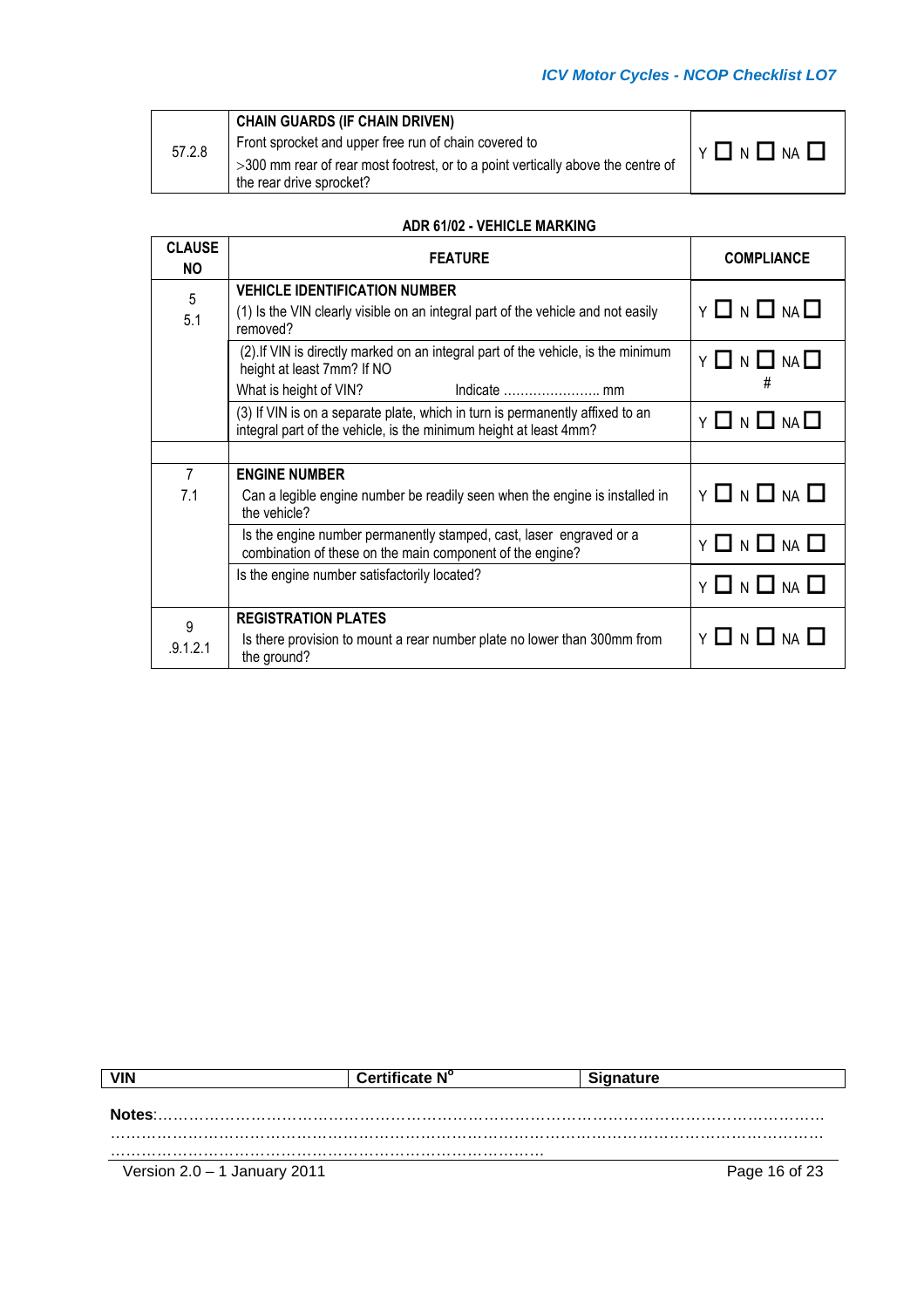|        | <b>CHAIN GUARDS (IF CHAIN DRIVEN)</b>                                            |                     |
|--------|----------------------------------------------------------------------------------|---------------------|
| 57.2.8 | Front sprocket and upper free run of chain covered to                            | <b>Y □ N □ NA □</b> |
|        | >300 mm rear of rear most footrest, or to a point vertically above the centre of |                     |
|        | the rear drive sprocket?                                                         |                     |

### **ADR 61/02 - VEHICLE MARKING**

| <b>CLAUSE</b><br><b>NO</b> | <b>FEATURE</b>                                                                                                                                     | <b>COMPLIANCE</b>                     |
|----------------------------|----------------------------------------------------------------------------------------------------------------------------------------------------|---------------------------------------|
| 5<br>5.1                   | <b>VEHICLE IDENTIFICATION NUMBER</b><br>(1) Is the VIN clearly visible on an integral part of the vehicle and not easily<br>removed?               | $Y \square N \square NA \square$      |
|                            | (2). If VIN is directly marked on an integral part of the vehicle, is the minimum<br>height at least 7mm? If NO<br>What is height of VIN?          | $Y \square N \square NA \square$<br># |
|                            | (3) If VIN is on a separate plate, which in turn is permanently affixed to an<br>integral part of the vehicle, is the minimum height at least 4mm? | $Y \Box N \Box NA \Box$               |
|                            |                                                                                                                                                    |                                       |
| $\overline{7}$<br>7.1      | <b>ENGINE NUMBER</b><br>Can a legible engine number be readily seen when the engine is installed in<br>the vehicle?                                | $Y \Box N \Box NA \Box$               |
|                            | Is the engine number permanently stamped, cast, laser engraved or a<br>combination of these on the main component of the engine?                   | $Y \Box N \Box NA \Box$               |
|                            | Is the engine number satisfactorily located?                                                                                                       | $Y \square N \square M \square$       |
| 9                          | <b>REGISTRATION PLATES</b>                                                                                                                         |                                       |
| .9.1.2.1                   | Is there provision to mount a rear number plate no lower than 300mm from<br>the ground?                                                            | Y O N O NA O                          |

|                                | Certificate N° | <b>Signature</b> |
|--------------------------------|----------------|------------------|
|                                |                |                  |
| Notes:                         |                |                  |
|                                |                |                  |
| Version $2.0 - 1$ January 2011 |                | Page 16 of 23    |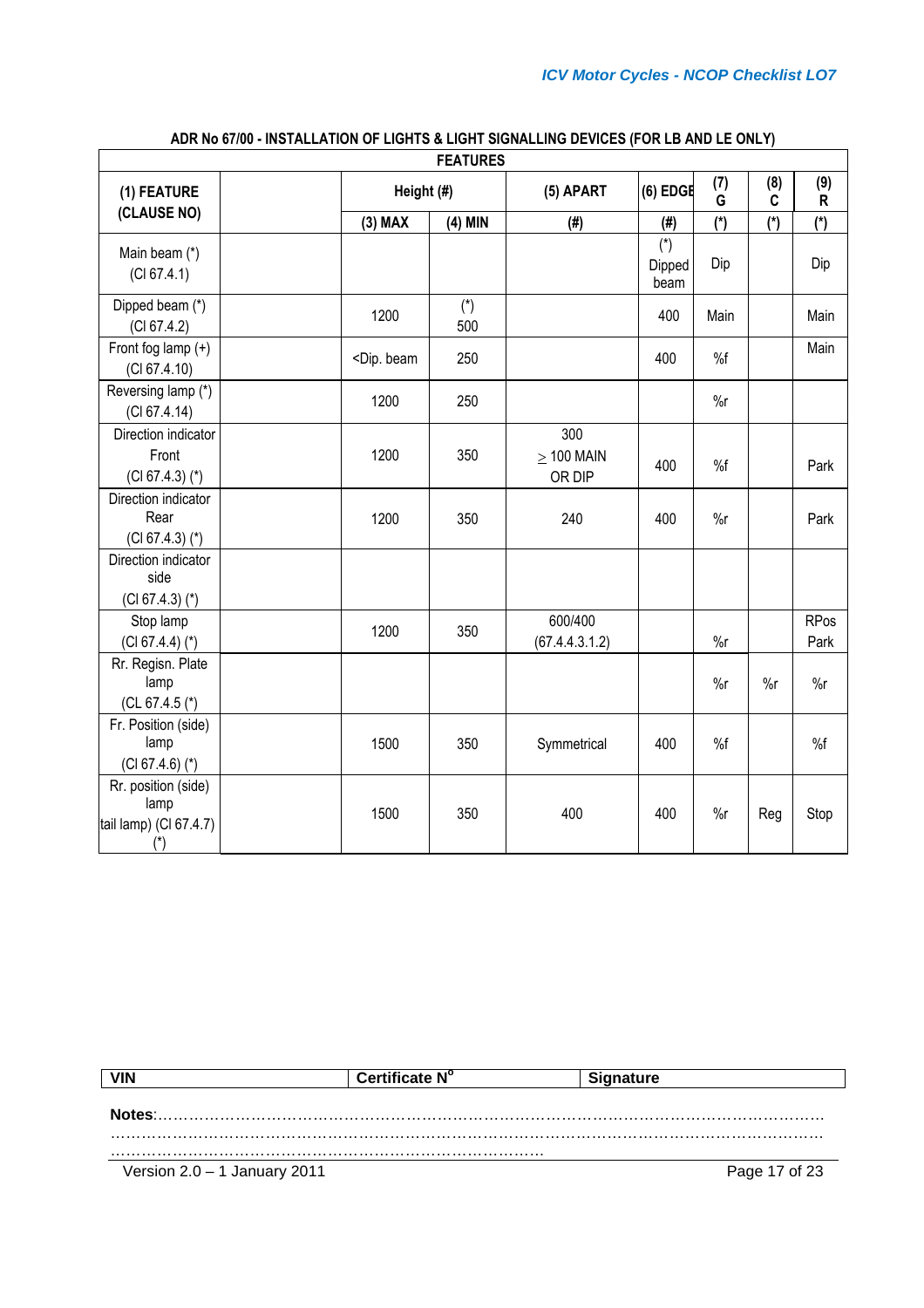| <b>FEATURES</b>                                                |  |                                                                                                |              |                                  |                         |          |          |                     |
|----------------------------------------------------------------|--|------------------------------------------------------------------------------------------------|--------------|----------------------------------|-------------------------|----------|----------|---------------------|
| (1) FEATURE                                                    |  | Height (#)                                                                                     |              | (5) APART                        | $(6)$ EDGE              | (7)<br>G | (8)<br>C | (9)<br>R            |
| (CLAUSE NO)                                                    |  | $(3)$ MAX                                                                                      | $(4)$ MIN    | (# )                             | (# )                    | $(*)$    | $(*)$    | $(*)$               |
| Main beam (*)<br>(Cl 67.4.1)                                   |  |                                                                                                |              |                                  | $(*)$<br>Dipped<br>beam | Dip      |          | Dip                 |
| Dipped beam (*)<br>(Cl 67.4.2)                                 |  | 1200                                                                                           | $(*)$<br>500 |                                  | 400                     | Main     |          | Main                |
| Front fog lamp $(+)$<br>(CI 67.4.10)                           |  | <dip. beam<="" td=""><td>250</td><td></td><td>400</td><td>%f</td><td></td><td>Main</td></dip.> | 250          |                                  | 400                     | %f       |          | Main                |
| Reversing lamp (*)<br>(Cl 67.4.14)                             |  | 1200                                                                                           | 250          |                                  |                         | $\%r$    |          |                     |
| Direction indicator<br>Front<br>$(CI 67.4.3)$ (*)              |  | 1200                                                                                           | 350          | 300<br>$\geq$ 100 MAIN<br>OR DIP | 400                     | %f       |          | Park                |
| Direction indicator<br>Rear<br>$(CI 67.4.3)$ (*)               |  | 1200                                                                                           | 350          | 240                              | 400                     | $\%r$    |          | Park                |
| Direction indicator<br>side<br>$(CI 67.4.3)$ (*)               |  |                                                                                                |              |                                  |                         |          |          |                     |
| Stop lamp<br>$(CI 67.4.4)$ (*)                                 |  | 1200                                                                                           | 350          | 600/400<br>(67.4.4.3.1.2)        |                         | $\%r$    |          | <b>RPos</b><br>Park |
| Rr. Regisn. Plate<br>lamp<br>(CL 67.4.5 $(*)$                  |  |                                                                                                |              |                                  |                         | $\%r$    | $\%r$    | $\%r$               |
| Fr. Position (side)<br>lamp<br>$(CI 67.4.6)$ (*)               |  | 1500                                                                                           | 350          | Symmetrical                      | 400                     | %f       |          | %f                  |
| Rr. position (side)<br>lamp<br>tail lamp) (Cl 67.4.7)<br>$(*)$ |  | 1500                                                                                           | 350          | 400                              | 400                     | $\%r$    | Reg      | Stop                |

# **ADR No 67/00 - INSTALLATION OF LIGHTS & LIGHT SIGNALLING DEVICES (FOR LB AND LE ONLY)**

| <b>VIN</b>                     | Certificate N° | <b>Signature</b> |
|--------------------------------|----------------|------------------|
|                                |                |                  |
| Notes:                         |                |                  |
|                                |                |                  |
|                                |                |                  |
| Version $2.0 - 1$ January 2011 |                | Page 17 of 23    |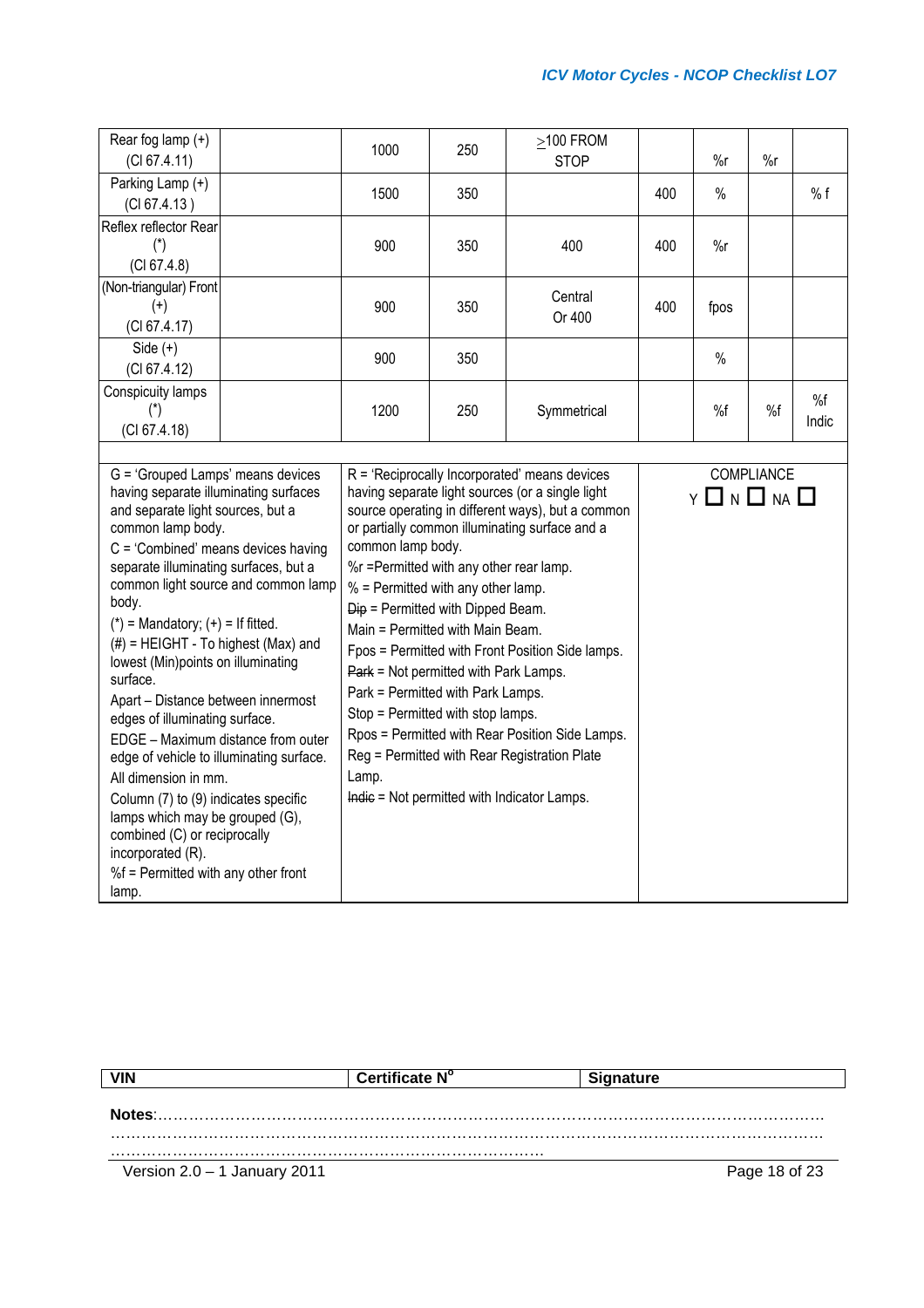| Rear fog lamp $(+)$<br>(CI 67.4.11)                                                                                                                                                                                                                                                                                                                                                                                                                                                                                                                                                                                                                                                                                                                                  |  | 1000                                                                                                                                                                                                                                                                                                                                                                | 250 | $\geq$ 100 FROM<br><b>STOP</b>                                                                                                                                                                                                                                                                                                                                     |     | $\%r$                   | $\%r$      |             |
|----------------------------------------------------------------------------------------------------------------------------------------------------------------------------------------------------------------------------------------------------------------------------------------------------------------------------------------------------------------------------------------------------------------------------------------------------------------------------------------------------------------------------------------------------------------------------------------------------------------------------------------------------------------------------------------------------------------------------------------------------------------------|--|---------------------------------------------------------------------------------------------------------------------------------------------------------------------------------------------------------------------------------------------------------------------------------------------------------------------------------------------------------------------|-----|--------------------------------------------------------------------------------------------------------------------------------------------------------------------------------------------------------------------------------------------------------------------------------------------------------------------------------------------------------------------|-----|-------------------------|------------|-------------|
| Parking Lamp (+)<br>(Cl 67.4.13)                                                                                                                                                                                                                                                                                                                                                                                                                                                                                                                                                                                                                                                                                                                                     |  | 1500                                                                                                                                                                                                                                                                                                                                                                | 350 |                                                                                                                                                                                                                                                                                                                                                                    | 400 | $\frac{0}{0}$           |            | % f         |
| Reflex reflector Rear<br>$(\ddot{\phantom{a}})$<br>(Cl 67.4.8)                                                                                                                                                                                                                                                                                                                                                                                                                                                                                                                                                                                                                                                                                                       |  | 900                                                                                                                                                                                                                                                                                                                                                                 | 350 | 400                                                                                                                                                                                                                                                                                                                                                                | 400 | $\%r$                   |            |             |
| (Non-triangular) Front<br>$(+)$<br>(CI 67.4.17)                                                                                                                                                                                                                                                                                                                                                                                                                                                                                                                                                                                                                                                                                                                      |  | 900                                                                                                                                                                                                                                                                                                                                                                 | 350 | Central<br>Or 400                                                                                                                                                                                                                                                                                                                                                  | 400 | fpos                    |            |             |
| Side $(+)$<br>(CI 67.4.12)                                                                                                                                                                                                                                                                                                                                                                                                                                                                                                                                                                                                                                                                                                                                           |  | 900                                                                                                                                                                                                                                                                                                                                                                 | 350 |                                                                                                                                                                                                                                                                                                                                                                    |     | $\%$                    |            |             |
| Conspicuity lamps<br>$(*)$<br>(Cl 67.4.18)                                                                                                                                                                                                                                                                                                                                                                                                                                                                                                                                                                                                                                                                                                                           |  | 1200                                                                                                                                                                                                                                                                                                                                                                | 250 | Symmetrical                                                                                                                                                                                                                                                                                                                                                        |     | %f                      | %f         | %f<br>Indic |
| G = 'Grouped Lamps' means devices<br>having separate illuminating surfaces<br>and separate light sources, but a<br>common lamp body.<br>$C = 'Combined'$ means devices having<br>separate illuminating surfaces, but a<br>common light source and common lamp<br>body.<br>$(*)$ = Mandatory; $(*)$ = If fitted.<br>$(\#)$ = HEIGHT - To highest (Max) and<br>lowest (Min)points on illuminating<br>surface.<br>Apart - Distance between innermost<br>edges of illuminating surface.<br>EDGE - Maximum distance from outer<br>edge of vehicle to illuminating surface.<br>All dimension in mm.<br>Column (7) to (9) indicates specific<br>lamps which may be grouped (G),<br>combined (C) or reciprocally<br>incorporated (R).<br>%f = Permitted with any other front |  | common lamp body.<br>%r =Permitted with any other rear lamp.<br>% = Permitted with any other lamp.<br>$\overline{Dip}$ = Permitted with Dipped Beam.<br>Main = Permitted with Main Beam.<br>Park = Not permitted with Park Lamps.<br>Park = Permitted with Park Lamps.<br>Stop = Permitted with stop lamps.<br>Lamp.<br>Indic = Not permitted with Indicator Lamps. |     | $R = 'Recioprocally Incorporated' means devices$<br>having separate light sources (or a single light<br>source operating in different ways), but a common<br>or partially common illuminating surface and a<br>Fpos = Permitted with Front Position Side lamps.<br>Rpos = Permitted with Rear Position Side Lamps.<br>Reg = Permitted with Rear Registration Plate |     | $Y \Box N \Box NA \Box$ | COMPLIANCE |             |

| <b>VIN</b>                     | Certificate N° | <b>Signature</b> |  |
|--------------------------------|----------------|------------------|--|
| Notes:                         |                |                  |  |
|                                |                |                  |  |
|                                |                |                  |  |
| Version $2.0 - 1$ January 2011 |                | Page 18 of 23    |  |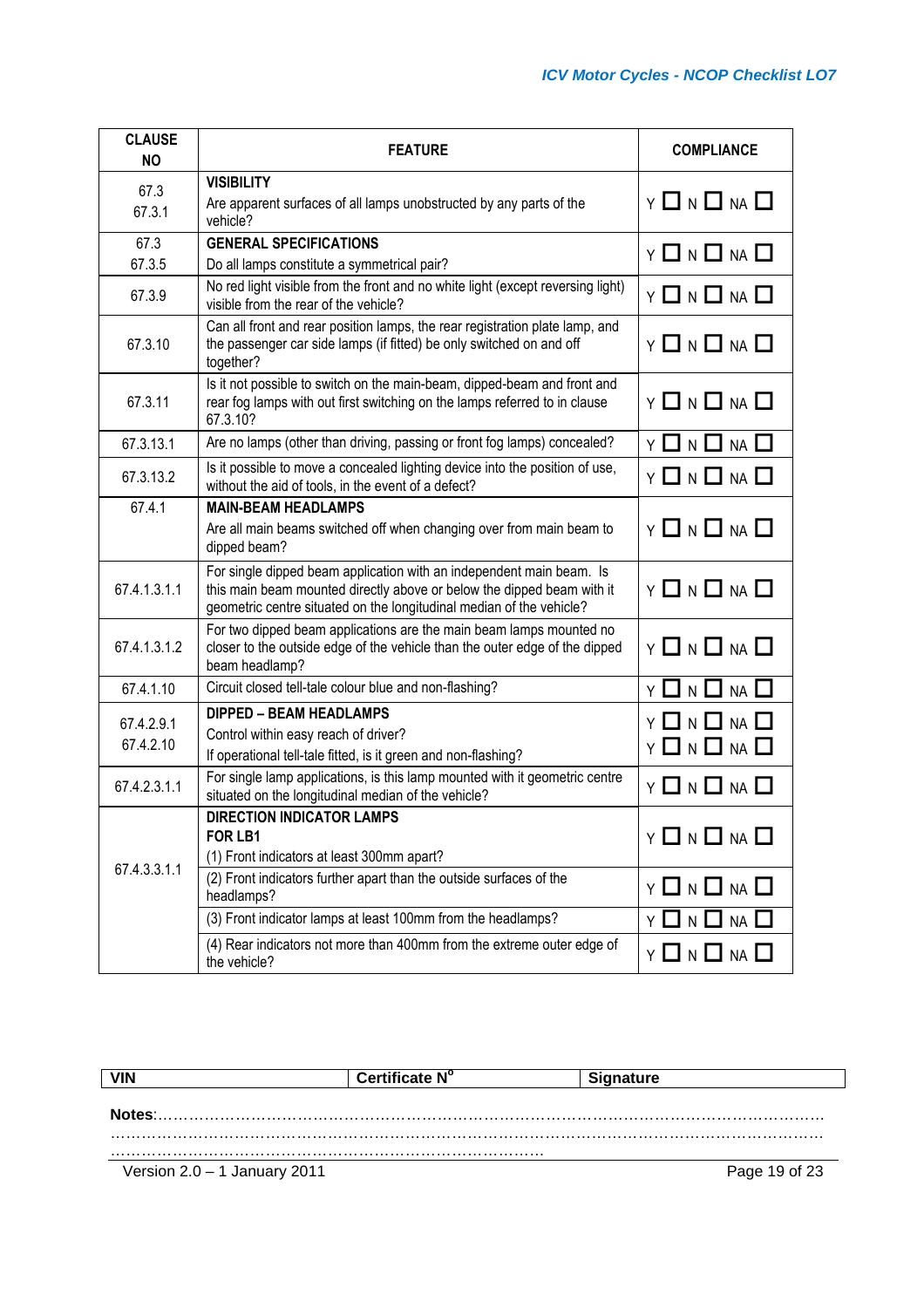| <b>CLAUSE</b><br><b>NO</b> | <b>FEATURE</b>                                                                                                                                                                                                         | <b>COMPLIANCE</b>                       |
|----------------------------|------------------------------------------------------------------------------------------------------------------------------------------------------------------------------------------------------------------------|-----------------------------------------|
| 67.3<br>67.3.1             | <b>VISIBILITY</b><br>Are apparent surfaces of all lamps unobstructed by any parts of the<br>vehicle?                                                                                                                   | $Y \Box N \Box NA \Box$                 |
| 67.3                       | <b>GENERAL SPECIFICATIONS</b>                                                                                                                                                                                          | <b>Y □ N □ NA □</b>                     |
| 67.3.5<br>67.3.9           | Do all lamps constitute a symmetrical pair?<br>No red light visible from the front and no white light (except reversing light)<br>visible from the rear of the vehicle?                                                | $Y \Box N \Box NA \Box$                 |
| 67.3.10                    | Can all front and rear position lamps, the rear registration plate lamp, and<br>the passenger car side lamps (if fitted) be only switched on and off<br>together?                                                      | $Y \Box N \Box NA \Box$                 |
| 67.3.11                    | Is it not possible to switch on the main-beam, dipped-beam and front and<br>rear fog lamps with out first switching on the lamps referred to in clause<br>67.3.10?                                                     | $Y \Box N \Box NA \Box$                 |
| 67.3.13.1                  | Are no lamps (other than driving, passing or front fog lamps) concealed?                                                                                                                                               | <b>Y □ N □ NA □</b>                     |
| 67.3.13.2                  | Is it possible to move a concealed lighting device into the position of use,<br>without the aid of tools, in the event of a defect?                                                                                    | $Y \Box N \Box NA \Box$                 |
| 67.4.1                     | <b>MAIN-BEAM HEADLAMPS</b><br>Are all main beams switched off when changing over from main beam to<br>dipped beam?                                                                                                     | $Y \square N \square NA \square$        |
| 67.4.1.3.1.1               | For single dipped beam application with an independent main beam. Is<br>this main beam mounted directly above or below the dipped beam with it<br>geometric centre situated on the longitudinal median of the vehicle? | $Y \square N \square NA \square$        |
| 67.4.1.3.1.2               | For two dipped beam applications are the main beam lamps mounted no<br>closer to the outside edge of the vehicle than the outer edge of the dipped<br>beam headlamp?                                                   | $Y \Box N \Box NA \Box$                 |
| 67.4.1.10                  | Circuit closed tell-tale colour blue and non-flashing?                                                                                                                                                                 | Y O N O NA O                            |
| 67.4.2.9.1<br>67.4.2.10    | <b>DIPPED - BEAM HEADLAMPS</b><br>Control within easy reach of driver?<br>If operational tell-tale fitted, is it green and non-flashing?                                                                               | $Y \Box N \Box NA \Box$<br>Y 囗 N 囗 NA 囗 |
| 67.4.2.3.1.1               | For single lamp applications, is this lamp mounted with it geometric centre<br>situated on the longitudinal median of the vehicle?                                                                                     | Y □ N □ NA □                            |
| 67.4.3.3.1.1               | <b>DIRECTION INDICATOR LAMPS</b><br>FOR LB1<br>(1) Front indicators at least 300mm apart?<br>(2) Front indicators further apart than the outside surfaces of the<br>headlamps?                                         | $Y \Box N \Box NA \Box$<br>Y □ N □ NA □ |
|                            | (3) Front indicator lamps at least 100mm from the headlamps?                                                                                                                                                           | Y□NL<br><b>NA</b>                       |
|                            | (4) Rear indicators not more than 400mm from the extreme outer edge of<br>the vehicle?                                                                                                                                 | Y □ N □ NA □                            |

| VIN                            | Certificate N <sup>o</sup> | <b>Signature</b> |
|--------------------------------|----------------------------|------------------|
| Notes:                         |                            |                  |
|                                |                            |                  |
|                                |                            |                  |
| Version $2.0 - 1$ January 2011 |                            | Page 19 of 23    |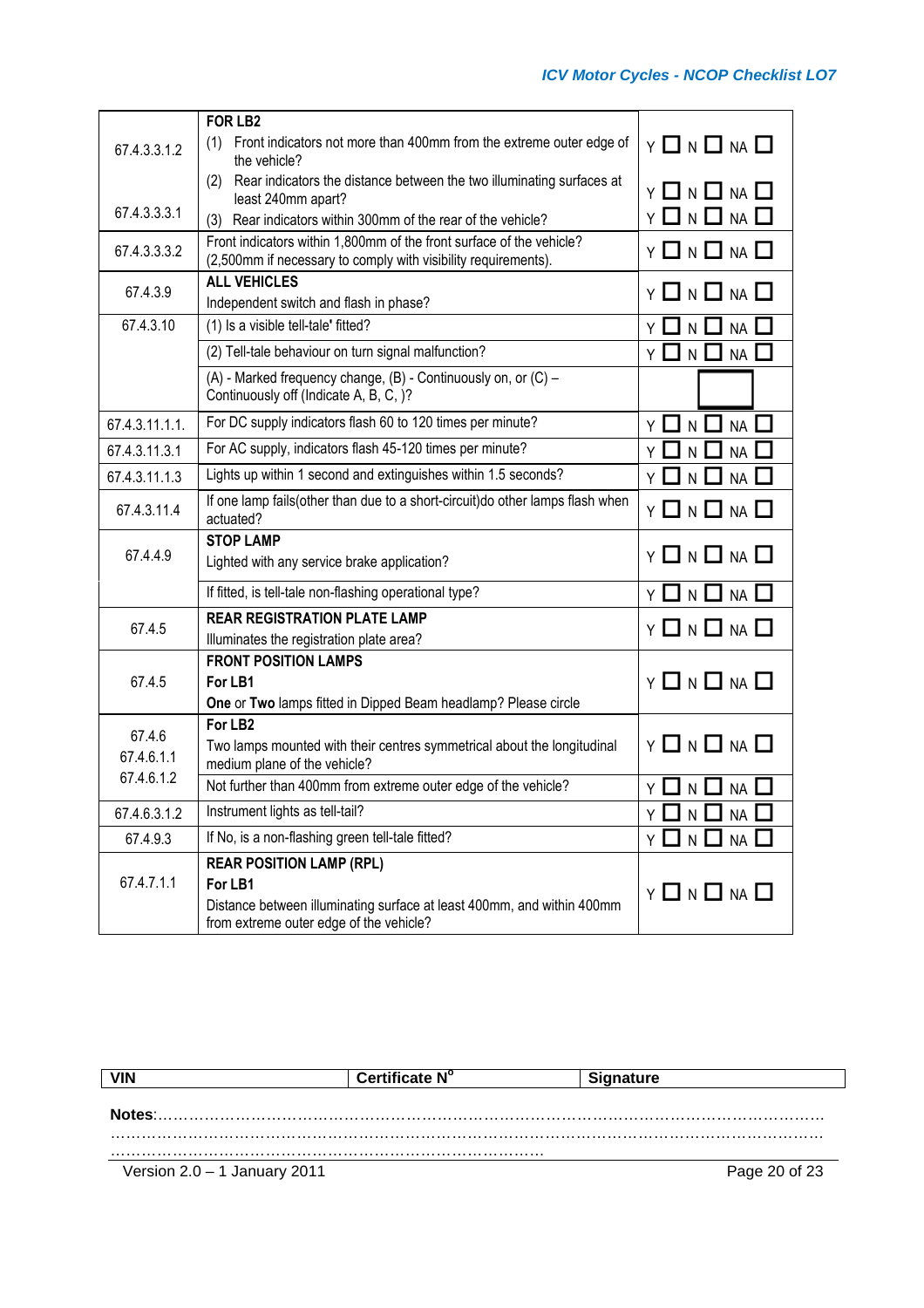|                | <b>FOR LB2</b>                                                                                                                          |                                              |
|----------------|-----------------------------------------------------------------------------------------------------------------------------------------|----------------------------------------------|
| 67.4.3.3.1.2   | (1) Front indicators not more than 400mm from the extreme outer edge of<br>the vehicle?                                                 | $Y \Box N \Box NA \Box$                      |
|                | Rear indicators the distance between the two illuminating surfaces at<br>(2)                                                            | Y 囗 N 囗 NA 囗                                 |
| 67.4.3.3.3.1   | least 240mm apart?                                                                                                                      | Y □ N □ NA □                                 |
|                | Rear indicators within 300mm of the rear of the vehicle?<br>(3)<br>Front indicators within 1,800mm of the front surface of the vehicle? |                                              |
| 67.4.3.3.3.2   | (2,500mm if necessary to comply with visibility requirements).                                                                          | $Y \Box N \Box NA \Box$                      |
| 67.4.3.9       | <b>ALL VEHICLES</b>                                                                                                                     | Y 囗 N 囗 NA 囗                                 |
|                | Independent switch and flash in phase?                                                                                                  |                                              |
| 67.4.3.10      | (1) Is a visible tell-tale' fitted?                                                                                                     | $N \Box NA$                                  |
|                | (2) Tell-tale behaviour on turn signal malfunction?                                                                                     | $N$ $\Box$<br>$\mathbf{I}$<br><b>NA</b><br>Y |
|                | (A) - Marked frequency change, (B) - Continuously on, or (C) -<br>Continuously off (Indicate A, B, C, )?                                |                                              |
| 67.4.3.11.1.1. | For DC supply indicators flash 60 to 120 times per minute?                                                                              | <b>NA</b><br>YЦ<br>$\mathsf{N}$              |
| 67.4.3.11.3.1  | For AC supply, indicators flash 45-120 times per minute?                                                                                | <b>NA</b><br>Y<br>N                          |
| 67.4.3.11.1.3  | Lights up within 1 second and extinguishes within 1.5 seconds?                                                                          | $NA$ $\Box$<br>$\mathsf{N}$                  |
| 67.4.3.11.4    | If one lamp fails(other than due to a short-circuit) do other lamps flash when<br>actuated?                                             | $Y \Box N \Box NA \Box$                      |
|                | <b>STOP LAMP</b>                                                                                                                        |                                              |
| 67.4.4.9       | Lighted with any service brake application?                                                                                             | $Y \Box N \Box NA \Box$                      |
|                | If fitted, is tell-tale non-flashing operational type?                                                                                  | Y 囗 N 囗 NA 囗                                 |
| 67.4.5         | <b>REAR REGISTRATION PLATE LAMP</b>                                                                                                     | <b>Y □ N □ NA □</b>                          |
|                | Illuminates the registration plate area?                                                                                                |                                              |
|                | <b>FRONT POSITION LAMPS</b>                                                                                                             |                                              |
| 67.4.5         | For LB1                                                                                                                                 | $Y \Box N \Box NA \Box$                      |
|                | One or Two lamps fitted in Dipped Beam headlamp? Please circle                                                                          |                                              |
| 67.4.6         | For LB <sub>2</sub>                                                                                                                     |                                              |
| 67.4.6.1.1     | Two lamps mounted with their centres symmetrical about the longitudinal<br>medium plane of the vehicle?                                 | $Y \Box N \Box NA \Box$                      |
| 67.4.6.1.2     | Not further than 400mm from extreme outer edge of the vehicle?                                                                          | Y O N O NA L                                 |
| 67.4.6.3.1.2   | Instrument lights as tell-tail?                                                                                                         | NA<br>Y □ N 凵                                |
| 67.4.9.3       | If No, is a non-flashing green tell-tale fitted?                                                                                        | YONU<br>$NA$ $\square$                       |
|                |                                                                                                                                         |                                              |
| 67.4.7.1.1     | <b>REAR POSITION LAMP (RPL)</b><br>For LB1                                                                                              |                                              |
|                | Distance between illuminating surface at least 400mm, and within 400mm<br>from extreme outer edge of the vehicle?                       | $Y \square N \square NA \square$             |

| <b>VIN</b>                     | Certificate N° | <b>Signature</b> |  |
|--------------------------------|----------------|------------------|--|
|                                |                |                  |  |
| Notes:                         |                |                  |  |
|                                |                |                  |  |
| Version $2.0 - 1$ January 2011 |                | Page 20 of 23    |  |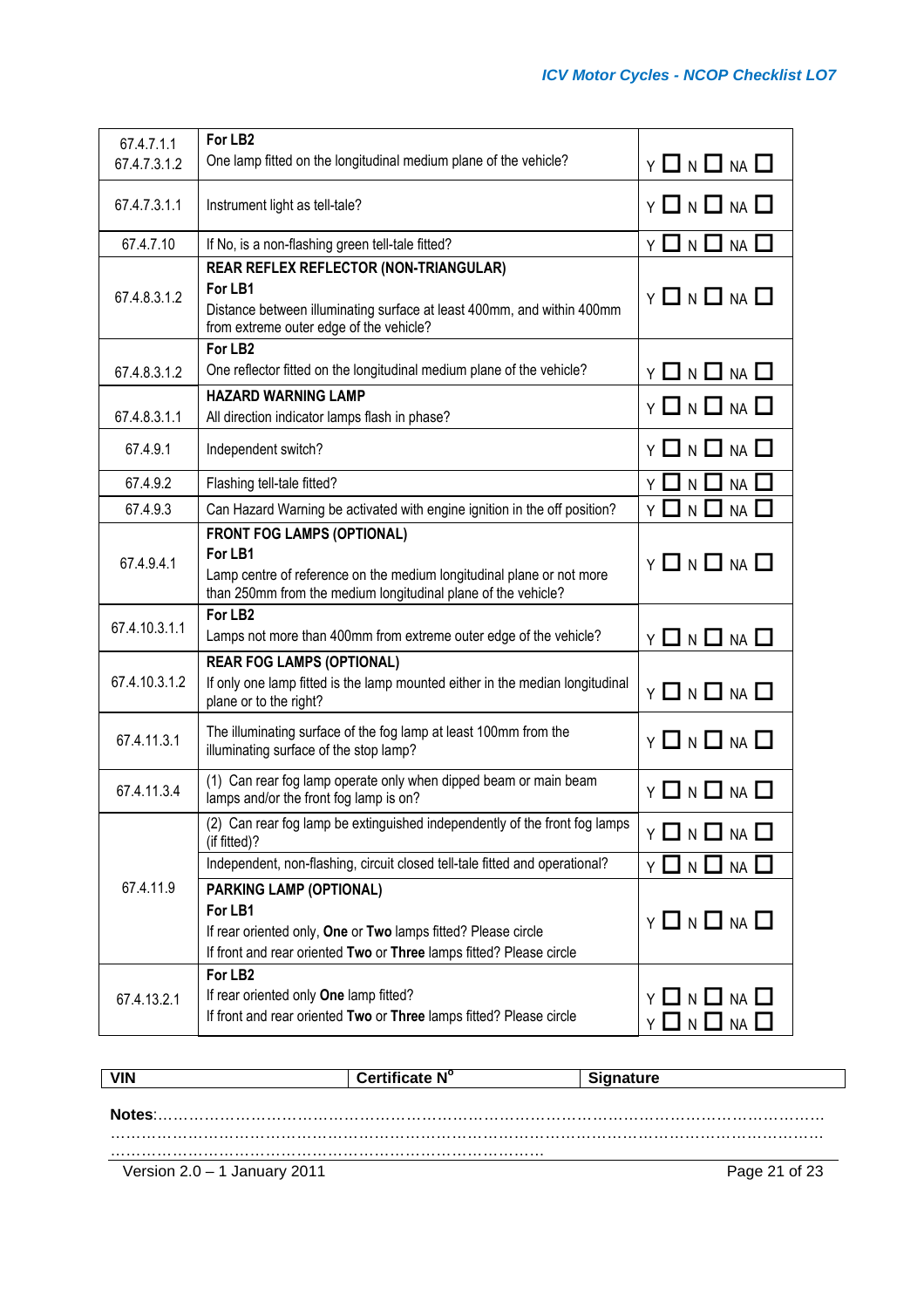| 67.4.7.1.1    | For LB <sub>2</sub>                                                                                                                                                                    |                                         |
|---------------|----------------------------------------------------------------------------------------------------------------------------------------------------------------------------------------|-----------------------------------------|
| 67.4.7.3.1.2  | One lamp fitted on the longitudinal medium plane of the vehicle?                                                                                                                       | $Y \Box N \Box NA \Box$                 |
| 67.4.7.3.1.1  | Instrument light as tell-tale?                                                                                                                                                         | $Y \Box N \Box NA \Box$                 |
| 67.4.7.10     | If No, is a non-flashing green tell-tale fitted?                                                                                                                                       | $Y \Box N \Box NA \Box$                 |
| 67.4.8.3.1.2  | REAR REFLEX REFLECTOR (NON-TRIANGULAR)<br>For LB1<br>Distance between illuminating surface at least 400mm, and within 400mm<br>from extreme outer edge of the vehicle?                 | $Y \Box N \Box NA \Box$                 |
| 67.4.8.3.1.2  | For LB <sub>2</sub><br>One reflector fitted on the longitudinal medium plane of the vehicle?                                                                                           | $Y \Box N \Box NA \Box$                 |
| 67.4.8.3.1.1  | <b>HAZARD WARNING LAMP</b><br>All direction indicator lamps flash in phase?                                                                                                            | $Y \square N \square NA \square$        |
| 67.4.9.1      | Independent switch?                                                                                                                                                                    | Y □ N □ NA □                            |
| 67.4.9.2      | Flashing tell-tale fitted?                                                                                                                                                             | Y □ N □<br>$NA$ $\Box$                  |
| 67.4.9.3      | Can Hazard Warning be activated with engine ignition in the off position?                                                                                                              | Y □ N □<br>$NA$ $\square$               |
| 67.4.9.4.1    | <b>FRONT FOG LAMPS (OPTIONAL)</b><br>For LB1<br>Lamp centre of reference on the medium longitudinal plane or not more<br>than 250mm from the medium longitudinal plane of the vehicle? | Y 囗 N 囗 NA 囗                            |
| 67.4.10.3.1.1 | For LB <sub>2</sub><br>Lamps not more than 400mm from extreme outer edge of the vehicle?                                                                                               | Y □ N □ NA □                            |
| 67.4.10.3.1.2 | <b>REAR FOG LAMPS (OPTIONAL)</b><br>If only one lamp fitted is the lamp mounted either in the median longitudinal<br>plane or to the right?                                            | Y O N O NA O                            |
| 67.4.11.3.1   | The illuminating surface of the fog lamp at least 100mm from the<br>illuminating surface of the stop lamp?                                                                             | $Y \square N \square NA \square$        |
| 67.4.11.3.4   | (1) Can rear fog lamp operate only when dipped beam or main beam<br>lamps and/or the front fog lamp is on?                                                                             | Y 囗 N 囗 NA 囗                            |
|               | (2) Can rear fog lamp be extinguished independently of the front fog lamps<br>(if fitted)?                                                                                             | Y 囗 N 囗 NA 囗                            |
|               | Independent, non-flashing, circuit closed tell-tale fitted and operational?                                                                                                            | Y O N O NA                              |
| 67.4.11.9     | PARKING LAMP (OPTIONAL)<br>For LB1<br>If rear oriented only, One or Two lamps fitted? Please circle<br>If front and rear oriented Two or Three lamps fitted? Please circle             | $Y \Box N \Box NA \Box$                 |
| 67.4.13.2.1   | For LB <sub>2</sub><br>If rear oriented only One lamp fitted?<br>If front and rear oriented Two or Three lamps fitted? Please circle                                                   | Y □ N □ NA □<br>$Y \Box N \Box NA \Box$ |

| <b>VIN</b>                     | Certificate N° | <b>Signature</b> |
|--------------------------------|----------------|------------------|
| Notes:                         |                |                  |
|                                |                |                  |
|                                |                |                  |
| Version $2.0 - 1$ January 2011 |                | Page 21 of 23    |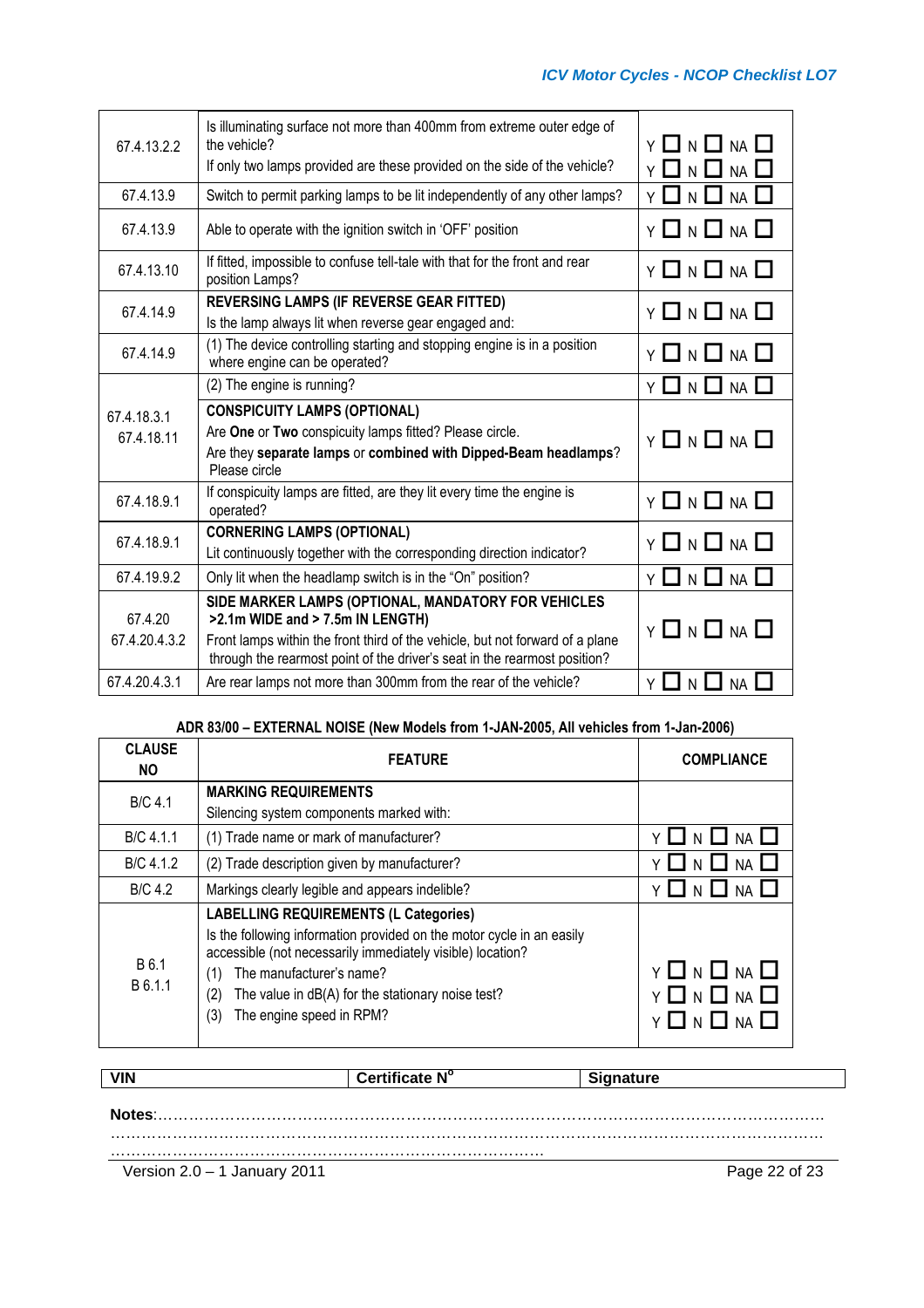| 67.4.13.2.2                                                                                                                                                                                                     | Is illuminating surface not more than 400mm from extreme outer edge of<br>the vehicle?<br>If only two lamps provided are these provided on the side of the vehicle?                                                                                   | $\square$ n $\square$ na $\square$<br>Y<br>$\Box$ n $\Box$ na $\Box$ |
|-----------------------------------------------------------------------------------------------------------------------------------------------------------------------------------------------------------------|-------------------------------------------------------------------------------------------------------------------------------------------------------------------------------------------------------------------------------------------------------|----------------------------------------------------------------------|
| 67.4.13.9                                                                                                                                                                                                       | Switch to permit parking lamps to be lit independently of any other lamps?                                                                                                                                                                            | N $\Box$ NA $\Box$                                                   |
| 67.4.13.9                                                                                                                                                                                                       | Able to operate with the ignition switch in 'OFF' position                                                                                                                                                                                            | $Y \Box N \Box NA \Box$                                              |
| 67.4.13.10                                                                                                                                                                                                      | If fitted, impossible to confuse tell-tale with that for the front and rear<br>position Lamps?                                                                                                                                                        | $Y \square N \square NA \square$                                     |
| 67.4.14.9                                                                                                                                                                                                       | <b>REVERSING LAMPS (IF REVERSE GEAR FITTED)</b><br>Is the lamp always lit when reverse gear engaged and:                                                                                                                                              | Y 囗 N 囗 NA 囗                                                         |
| 67.4.14.9                                                                                                                                                                                                       | (1) The device controlling starting and stopping engine is in a position<br>where engine can be operated?                                                                                                                                             | Y □ N □ NA □                                                         |
|                                                                                                                                                                                                                 | (2) The engine is running?                                                                                                                                                                                                                            | Y 囗 N 囗 NA 囗                                                         |
| <b>CONSPICUITY LAMPS (OPTIONAL)</b><br>67.4.18.3.1<br>Are One or Two conspicuity lamps fitted? Please circle.<br>67.4.18.11<br>Are they separate lamps or combined with Dipped-Beam headlamps?<br>Please circle |                                                                                                                                                                                                                                                       | $Y \Box N \Box NA \Box$                                              |
| 67.4.18.9.1                                                                                                                                                                                                     | If conspicuity lamps are fitted, are they lit every time the engine is<br>operated?                                                                                                                                                                   | $Y \Box N \Box NA \Box$                                              |
| 67.4.18.9.1                                                                                                                                                                                                     | <b>CORNERING LAMPS (OPTIONAL)</b><br>Lit continuously together with the corresponding direction indicator?                                                                                                                                            | Y 囗 N 囗 NA 囗                                                         |
| 67.4.19.9.2                                                                                                                                                                                                     | Only lit when the headlamp switch is in the "On" position?                                                                                                                                                                                            | Y ∐ N □ NA □                                                         |
| 67.4.20<br>67.4.20.4.3.2                                                                                                                                                                                        | SIDE MARKER LAMPS (OPTIONAL, MANDATORY FOR VEHICLES<br>>2.1m WIDE and > 7.5m IN LENGTH)<br>Front lamps within the front third of the vehicle, but not forward of a plane<br>through the rearmost point of the driver's seat in the rearmost position? | Y 囗 N 囗 NA 囗                                                         |
| 67.4.20.4.3.1                                                                                                                                                                                                   | Are rear lamps not more than 300mm from the rear of the vehicle?                                                                                                                                                                                      | <b>NA</b><br>N.<br>YЦ                                                |

# **ADR 83/00 – EXTERNAL NOISE (New Models from 1-JAN-2005, All vehicles from 1-Jan-2006)**

| <b>CLAUSE</b><br><b>NO</b> | <b>FEATURE</b>                                                                                                                                                                                                                                                                                                        | <b>COMPLIANCE</b>       |
|----------------------------|-----------------------------------------------------------------------------------------------------------------------------------------------------------------------------------------------------------------------------------------------------------------------------------------------------------------------|-------------------------|
| <b>B/C 4.1</b>             | <b>MARKING REQUIREMENTS</b><br>Silencing system components marked with:                                                                                                                                                                                                                                               |                         |
| B/C 4.1.1                  | (1) Trade name or mark of manufacturer?                                                                                                                                                                                                                                                                               | NA                      |
| B/C 4.1.2                  | (2) Trade description given by manufacturer?                                                                                                                                                                                                                                                                          |                         |
| <b>B/C 4.2</b>             | Markings clearly legible and appears indelible?                                                                                                                                                                                                                                                                       |                         |
| B 6.1<br>B 6.1.1           | <b>LABELLING REQUIREMENTS (L Categories)</b><br>Is the following information provided on the motor cycle in an easily<br>accessible (not necessarily immediately visible) location?<br>The manufacturer's name?<br>(1)<br>The value in dB(A) for the stationary noise test?<br>(2)<br>The engine speed in RPM?<br>(3) | Y LI N LI NA LI<br>NA I |

| <b>VIN</b> | Certificate N° | <b>Signature</b> |  |
|------------|----------------|------------------|--|
|            |                |                  |  |
| Notes:     |                |                  |  |
|            |                |                  |  |

Version 2.0 – 1 January 2011 **Page 22 of 23**